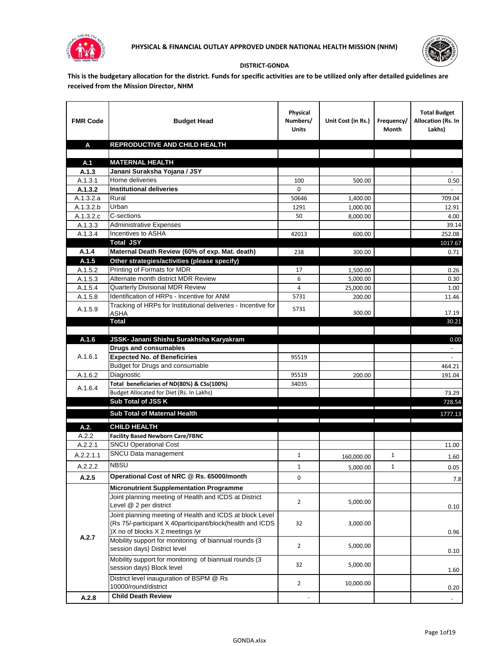



## **DISTRICT-GONDA**

**This is the budgetary allocation for the district. Funds for specific activities are to be utilized only after detailed guidelines are received from the Mission Director, NHM**

| <b>FMR Code</b>      | <b>Budget Head</b>                                                                                                                                        | Physical<br>Numbers/<br><b>Units</b> | Unit Cost (in Rs.)   | Frequency/<br>Month | <b>Total Budget</b><br>Allocation (Rs. In<br>Lakhs) |
|----------------------|-----------------------------------------------------------------------------------------------------------------------------------------------------------|--------------------------------------|----------------------|---------------------|-----------------------------------------------------|
| A                    | REPRODUCTIVE AND CHILD HEALTH                                                                                                                             |                                      |                      |                     |                                                     |
|                      |                                                                                                                                                           |                                      |                      |                     |                                                     |
| A.1                  | <b>MATERNAL HEALTH</b>                                                                                                                                    |                                      |                      |                     |                                                     |
| A.1.3                | Janani Suraksha Yojana / JSY                                                                                                                              |                                      |                      |                     |                                                     |
| A.1.3.1              | Home deliveries                                                                                                                                           | 100<br>0                             | 500.00               |                     | 0.50                                                |
| A.1.3.2<br>A.1.3.2.a | <b>Institutional deliveries</b><br>Rural                                                                                                                  | 50646                                |                      |                     | 709.04                                              |
| A.1.3.2.b            | Urban                                                                                                                                                     | 1291                                 | 1,400.00<br>1,000.00 |                     | 12.91                                               |
| A.1.3.2.c            | C-sections                                                                                                                                                | 50                                   | 8,000.00             |                     | 4.00                                                |
| A.1.3.3              | <b>Administrative Expenses</b>                                                                                                                            |                                      |                      |                     | 39.14                                               |
| A.1.3.4              | Incentives to ASHA                                                                                                                                        | 42013                                | 600.00               |                     | 252.08                                              |
|                      | <b>Total JSY</b>                                                                                                                                          |                                      |                      |                     | 1017.67                                             |
| A.1.4                | Maternal Death Review (60% of exp. Mat. death)                                                                                                            | 238                                  | 300.00               |                     | 0.71                                                |
| A.1.5                | Other strategies/activities (please specify)                                                                                                              |                                      |                      |                     |                                                     |
| A.1.5.2              | Printing of Formats for MDR                                                                                                                               | 17                                   | 1.500.00             |                     | 0.26                                                |
| A.1.5.3              | Alternate month district MDR Review                                                                                                                       | 6                                    | 5,000.00             |                     | 0.30                                                |
| A.1.5.4              | <b>Quarterly Divisional MDR Review</b>                                                                                                                    | 4                                    | 25,000.00            |                     | 1.00                                                |
| A.1.5.8              | Identification of HRPs - Incentive for ANM                                                                                                                | 5731                                 | 200.00               |                     | 11.46                                               |
| A.1.5.9              | Tracking of HRPs for Institutional deliveries - Incentive for                                                                                             | 5731                                 |                      |                     |                                                     |
|                      | <b>ASHA</b>                                                                                                                                               |                                      | 300.00               |                     | 17.19                                               |
|                      | <b>Total</b>                                                                                                                                              |                                      |                      |                     | 30.21                                               |
| A.1.6                | JSSK- Janani Shishu Surakhsha Karyakram                                                                                                                   |                                      |                      |                     | 0.00                                                |
|                      | <b>Drugs and consumables</b>                                                                                                                              |                                      |                      |                     |                                                     |
| A.1.6.1              | <b>Expected No. of Beneficiries</b>                                                                                                                       | 95519                                |                      |                     |                                                     |
|                      | Budget for Drugs and consumable                                                                                                                           |                                      |                      |                     | 464.21                                              |
| A.1.6.2              | Diagnostic                                                                                                                                                | 95519                                | 200.00               |                     | 191.04                                              |
|                      | Total beneficiaries of ND(80%) & CSs(100%)                                                                                                                | 34035                                |                      |                     |                                                     |
| A.1.6.4              | Budget Allocated for Diet (Rs. In Lakhs)                                                                                                                  |                                      |                      |                     | 73.29                                               |
|                      | Sub Total of JSS K                                                                                                                                        |                                      |                      |                     | 728.54                                              |
|                      | Sub Total of Maternal Health                                                                                                                              |                                      |                      |                     | 1777.13                                             |
|                      |                                                                                                                                                           |                                      |                      |                     |                                                     |
| A.2.                 | <b>CHILD HEALTH</b>                                                                                                                                       |                                      |                      |                     |                                                     |
| A.2.2                | <b>Facility Based Newborn Care/FBNC</b>                                                                                                                   |                                      |                      |                     |                                                     |
| A.2.2.1              | <b>SNCU Operational Cost</b>                                                                                                                              |                                      |                      |                     | 11.00                                               |
| A.2.2.1.1            | SNCU Data management                                                                                                                                      | $\mathbf{1}$                         | 160,000.00           | $\mathbf{1}$        | 1.60                                                |
| A.2.2.2              | <b>NBSU</b>                                                                                                                                               | 1                                    | 5,000.00             | 1                   | 0.05                                                |
| A.2.5                | Operational Cost of NRC @ Rs. 65000/month                                                                                                                 | 0                                    |                      |                     | 7.8                                                 |
|                      | <b>Micronutrient Supplementation Programme</b>                                                                                                            |                                      |                      |                     |                                                     |
|                      | Joint planning meeting of Health and ICDS at District<br>Level @ 2 per district                                                                           | $\overline{2}$                       | 5,000.00             |                     | 0.10                                                |
|                      | Joint planning meeting of Health and ICDS at block Level<br>(Rs 75/-participant X 40participant/block(health and ICDS<br>)X no of blocks X 2 meetings /yr | 32                                   | 3,000.00             |                     | 0.96                                                |
| A.2.7                | Mobility support for monitoring of biannual rounds (3<br>session days) District level                                                                     | $\overline{2}$                       | 5,000.00             |                     | 0.10                                                |
|                      | Mobility support for monitoring of biannual rounds (3)<br>session days) Block level                                                                       | 32                                   | 5,000.00             |                     | 1.60                                                |
|                      | District level inauguration of BSPM @ Rs<br>10000/round/district                                                                                          | $\overline{2}$                       | 10,000.00            |                     | 0.20                                                |
| A.2.8                | <b>Child Death Review</b>                                                                                                                                 |                                      |                      |                     | $\overline{\phantom{a}}$                            |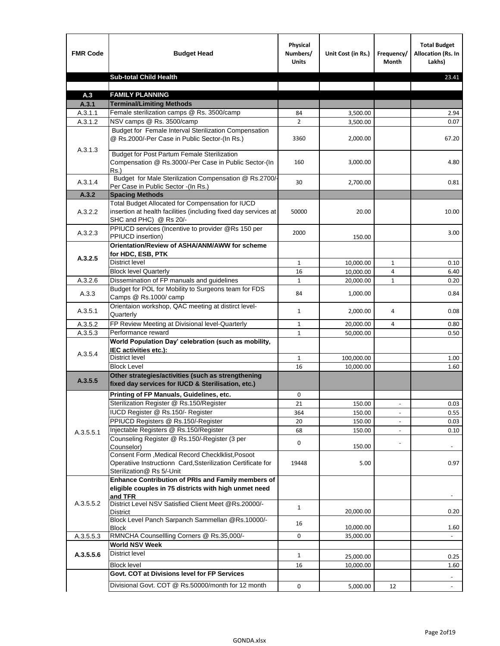| <b>FMR Code</b>    | <b>Budget Head</b>                                                                                                                            | Physical<br>Numbers/<br><b>Units</b> | Unit Cost (in Rs.) | Frequency/<br><b>Month</b>   | <b>Total Budget</b><br>Allocation (Rs. In<br>Lakhs) |
|--------------------|-----------------------------------------------------------------------------------------------------------------------------------------------|--------------------------------------|--------------------|------------------------------|-----------------------------------------------------|
|                    | <b>Sub-total Child Health</b>                                                                                                                 |                                      |                    |                              | 23.41                                               |
|                    |                                                                                                                                               |                                      |                    |                              |                                                     |
| A.3                | <b>FAMILY PLANNING</b>                                                                                                                        |                                      |                    |                              |                                                     |
| A.3.1              | <b>Terminal/Limiting Methods</b>                                                                                                              |                                      |                    |                              |                                                     |
| A.3.1.1<br>A.3.1.2 | Female sterilization camps @ Rs. 3500/camp<br>NSV camps @ Rs. 3500/camp                                                                       | 84<br>$\overline{2}$                 | 3,500.00           |                              | 2.94<br>0.07                                        |
|                    | Budget for Female Interval Sterilization Compensation                                                                                         |                                      | 3,500.00           |                              |                                                     |
| A.3.1.3            | @ Rs.2000/-Per Case in Public Sector-(In Rs.)                                                                                                 | 3360                                 | 2,000.00           |                              | 67.20                                               |
|                    | <b>Budget for Post Partum Female Sterilization</b><br>Compensation @ Rs.3000/-Per Case in Public Sector-(In<br>$Rs.$ )                        | 160                                  | 3,000.00           |                              | 4.80                                                |
| A.3.1.4            | Budget for Male Sterilization Compensation @ Rs.2700/-<br>Per Case in Public Sector -(In Rs.)                                                 | 30                                   | 2,700.00           |                              | 0.81                                                |
| A.3.2              | <b>Spacing Methods</b>                                                                                                                        |                                      |                    |                              |                                                     |
| A.3.2.2            | Total Budget Allocated for Compensation for IUCD<br>insertion at health facilities (including fixed day services at<br>SHC and PHC) @ Rs 20/- | 50000                                | 20.00              |                              | 10.00                                               |
| A.3.2.3            | PPIUCD services (Incentive to provider @Rs 150 per<br>PPIUCD insertion)                                                                       | 2000                                 | 150.00             |                              | 3.00                                                |
| A.3.2.5            | Orientation/Review of ASHA/ANM/AWW for scheme<br>for HDC, ESB, PTK                                                                            |                                      |                    |                              |                                                     |
|                    | <b>District level</b>                                                                                                                         | $\mathbf{1}$                         | 10,000.00          | $\mathbf{1}$                 | 0.10                                                |
|                    | <b>Block level Quarterly</b>                                                                                                                  | 16                                   | 10,000.00          | 4                            | 6.40                                                |
| A.3.2.6            | Dissemination of FP manuals and guidelines                                                                                                    | $\mathbf{1}$                         | 20,000.00          | $\mathbf{1}$                 | 0.20                                                |
| A.3.3              | Budget for POL for Mobility to Surgeons team for FDS<br>Camps @ Rs.1000/ camp                                                                 | 84                                   | 1,000.00           |                              | 0.84                                                |
| A.3.5.1            | Orientaion workshop, QAC meeting at distirct level-<br>Quarterly                                                                              | $\mathbf{1}$                         | 2,000.00           | 4                            | 0.08                                                |
| A.3.5.2            | FP Review Meeting at Divisional level-Quarterly                                                                                               | $\mathbf{1}$                         | 20,000.00          | 4                            | 0.80                                                |
| A.3.5.3            | Performance reward                                                                                                                            | $\mathbf{1}$                         | 50,000.00          |                              | 0.50                                                |
| A.3.5.4            | World Population Day' celebration (such as mobility,<br>IEC activities etc.):                                                                 |                                      |                    |                              |                                                     |
|                    | District level                                                                                                                                | $\mathbf{1}$                         | 100,000.00         |                              | 1.00                                                |
|                    | <b>Block Level</b>                                                                                                                            | 16                                   | 10,000.00          |                              | 1.60                                                |
| A.3.5.5            | Other strategies/activities (such as strengthening<br>fixed day services for IUCD & Sterilisation, etc.)                                      |                                      |                    |                              |                                                     |
|                    | Printing of FP Manuals, Guidelines, etc.                                                                                                      | 0                                    |                    |                              |                                                     |
|                    | Sterilization Register @ Rs.150/Register                                                                                                      | 21                                   | 150.00             | $\qquad \qquad \blacksquare$ | 0.03                                                |
|                    | IUCD Register @ Rs.150/- Register                                                                                                             | 364                                  | 150.00             |                              | 0.55                                                |
|                    | PPIUCD Registers @ Rs.150/-Register                                                                                                           | 20                                   | 150.00             |                              | 0.03                                                |
| A.3.5.5.1          | Injectable Registers @ Rs.150/Register                                                                                                        | 68                                   | 150.00             |                              | 0.10                                                |
|                    | Counseling Register @ Rs.150/-Register (3 per<br>Counselor)<br>Consent Form , Medical Record CheckIklist, Posoot                              | 0                                    | 150.00             |                              |                                                     |
|                    | Operatiive Instructionn Card, Ssterilization Certificate for<br>Sterilization@ Rs 5/-Unit                                                     | 19448                                | 5.00               |                              | 0.97                                                |
|                    | Enhance Contribution of PRIs and Family members of<br>eligible couples in 75 districts with high unmet need<br>and TFR                        |                                      |                    |                              |                                                     |
| A.3.5.5.2          | District Level NSV Satisfied Client Meet @Rs.20000/-<br>District                                                                              | $\mathbf{1}$                         | 20,000.00          |                              | 0.20                                                |
|                    | Block Level Panch Sarpanch Sammellan @Rs.10000/-<br><b>Block</b>                                                                              | 16                                   | 10,000.00          |                              | 1.60                                                |
| A.3.5.5.3          | RMNCHA Counsellling Corners @ Rs.35,000/-                                                                                                     | 0                                    | 35,000.00          |                              |                                                     |
|                    | <b>World NSV Week</b>                                                                                                                         |                                      |                    |                              |                                                     |
| A.3.5.5.6          | <b>District level</b>                                                                                                                         | $\mathbf{1}$                         | 25,000.00          |                              | 0.25                                                |
|                    | <b>Block level</b>                                                                                                                            | 16                                   | 10,000.00          |                              | 1.60                                                |
|                    | Govt. COT at Divisions level for FP Services                                                                                                  |                                      |                    |                              |                                                     |
|                    | Divisional Govt. COT @ Rs.50000/month for 12 month                                                                                            | 0                                    | 5,000.00           | 12                           | $\omega$                                            |
|                    |                                                                                                                                               |                                      |                    |                              |                                                     |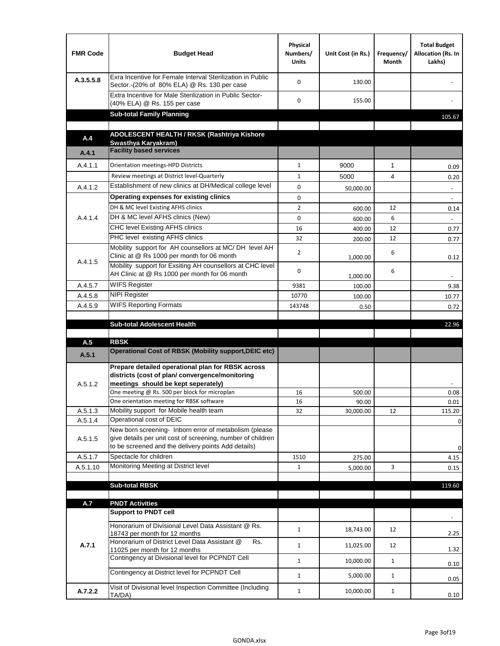| <b>FMR Code</b> | <b>Budget Head</b>                                                                                                                                                                          | Physical<br>Numbers/<br><b>Units</b> | Unit Cost (in Rs.) | Frequency/<br><b>Month</b> | <b>Total Budget</b><br>Allocation (Rs. In<br>Lakhs) |
|-----------------|---------------------------------------------------------------------------------------------------------------------------------------------------------------------------------------------|--------------------------------------|--------------------|----------------------------|-----------------------------------------------------|
| A.3.5.5.8       | Exra Incentive for Female Interval Sterilization in Public<br>Sector.-(20% of 80% ELA) @ Rs. 130 per case                                                                                   | $\Omega$                             | 130.00             |                            |                                                     |
|                 | Extra Incentive for Male Sterilization in Public Sector-<br>(40% ELA) @ Rs. 155 per case                                                                                                    | 0                                    | 155.00             |                            |                                                     |
|                 | <b>Sub-total Family Planning</b>                                                                                                                                                            |                                      |                    |                            | 105.67                                              |
|                 | ADOLESCENT HEALTH / RKSK (Rashtriya Kishore                                                                                                                                                 |                                      |                    |                            |                                                     |
| A.4             | Swasthva Karvakram)                                                                                                                                                                         |                                      |                    |                            |                                                     |
| A.4.1           | <b>Facility based services</b>                                                                                                                                                              |                                      |                    |                            |                                                     |
| A.4.1.1         | Orientation meetings-HPD Districts                                                                                                                                                          | $\mathbf{1}$                         | 9000               | $\mathbf{1}$               | 0.09                                                |
|                 | Review meetings at District level-Quarterly                                                                                                                                                 | $\mathbf{1}$                         | 5000               | 4                          | 0.20                                                |
| A.4.1.2         | Establishment of new clinics at DH/Medical college level                                                                                                                                    | 0                                    | 50,000.00          |                            | $\overline{\phantom{a}}$                            |
|                 | Operating expenses for existing clinics                                                                                                                                                     | 0                                    |                    |                            |                                                     |
|                 | DH & MC level Existing AFHS clinics                                                                                                                                                         | $\overline{2}$                       | 600.00             | 12                         | 0.14                                                |
| A.4.1.4         | DH & MC level AFHS clinics (New)                                                                                                                                                            | 0                                    | 600.00             | 6                          |                                                     |
|                 | CHC level Existing AFHS clinics                                                                                                                                                             | 16                                   | 400.00             | 12                         | 0.77                                                |
|                 | PHC level existing AFHS clinics                                                                                                                                                             | 32                                   | 200.00             | 12                         | 0.77                                                |
| A.4.1.5         | Mobility support for AH counsellors at MC/DH level AH<br>Clinic at @ Rs 1000 per month for 06 month                                                                                         | $\overline{2}$                       | 1,000.00           | 6                          | 0.12                                                |
|                 | Mobility support for Exsiting AH counsellors at CHC level<br>AH Clinic at @ Rs 1000 per month for 06 month                                                                                  | 0                                    | 1,000.00           | 6                          | $\overline{\phantom{a}}$                            |
| A.4.5.7         | <b>WIFS Register</b>                                                                                                                                                                        | 9381                                 | 100.00             |                            | 9.38                                                |
| A.4.5.8         | <b>NIPI Register</b>                                                                                                                                                                        | 10770                                | 100.00             |                            | 10.77                                               |
| A.4.5.9         | <b>WIFS Reporting Formats</b>                                                                                                                                                               | 143748                               | 0.50               |                            | 0.72                                                |
|                 | <b>Sub-total Adolescent Health</b>                                                                                                                                                          |                                      |                    |                            | 22.96                                               |
| A.5             | <b>RBSK</b>                                                                                                                                                                                 |                                      |                    |                            |                                                     |
| A.5.1           | <b>Operational Cost of RBSK (Mobility support, DEIC etc)</b>                                                                                                                                |                                      |                    |                            |                                                     |
| A.5.1.2         | Prepare detailed operational plan for RBSK across<br>districts (cost of plan/convergence/monitoring<br>meetings should be kept seperately)<br>One meeting @ Rs. 500 per block for microplan | 16                                   | 500.00             |                            | 0.08                                                |
|                 | One orientation meeting for RBSK software                                                                                                                                                   | 16                                   | 90.00              |                            | 0.01                                                |
| A.5.1.3         | Mobility support for Mobile health team                                                                                                                                                     | 32                                   | 30,000.00          | 12                         | 115.20                                              |
| A.5.1.4         | Operational cost of DEIC                                                                                                                                                                    |                                      |                    |                            | $\mathbf 0$                                         |
| A.5.1.5         | New born screening- Inborn error of metabolism (please<br>give details per unit cost of screening, number of children<br>to be screened and the delivery points Add details)                |                                      |                    |                            | 0                                                   |
| A.5.1.7         | Spectacle for children                                                                                                                                                                      | 1510                                 | 275.00             |                            | 4.15                                                |
| A.5.1.10        | Monitoring Meeting at District level                                                                                                                                                        | $\mathbf{1}$                         | 5,000.00           | 3                          | 0.15                                                |
|                 |                                                                                                                                                                                             |                                      |                    |                            |                                                     |
|                 | <b>Sub-total RBSK</b>                                                                                                                                                                       |                                      |                    |                            | 119.60                                              |
| A.7             | <b>PNDT Activities</b>                                                                                                                                                                      |                                      |                    |                            |                                                     |
|                 | <b>Support to PNDT cell</b>                                                                                                                                                                 |                                      |                    |                            |                                                     |
|                 | Honorarium of Divisional Level Data Assistant @ Rs.<br>18743 per month for 12 months                                                                                                        | $\mathbf{1}$                         | 18,743.00          | 12                         | 2.25                                                |
| A.7.1           | Honorarium of District Level Data Assistant @<br>Rs.<br>11025 per month for 12 months                                                                                                       | $\mathbf{1}$                         | 11,025.00          | 12                         | 1.32                                                |
|                 | Contingency at Divisional level for PCPNDT Cell                                                                                                                                             | $\mathbf{1}$                         | 10,000.00          | $\mathbf{1}$               | 0.10                                                |
|                 | Contingency at District level for PCPNDT Cell                                                                                                                                               | $\mathbf{1}$                         | 5,000.00           | $\mathbf{1}$               | 0.05                                                |
| A.7.2.2         | Visit of Divisional level Inspection Committee (Including<br>TA/DA)                                                                                                                         | $\mathbf{1}$                         | 10,000.00          | $\mathbf{1}$               | 0.10                                                |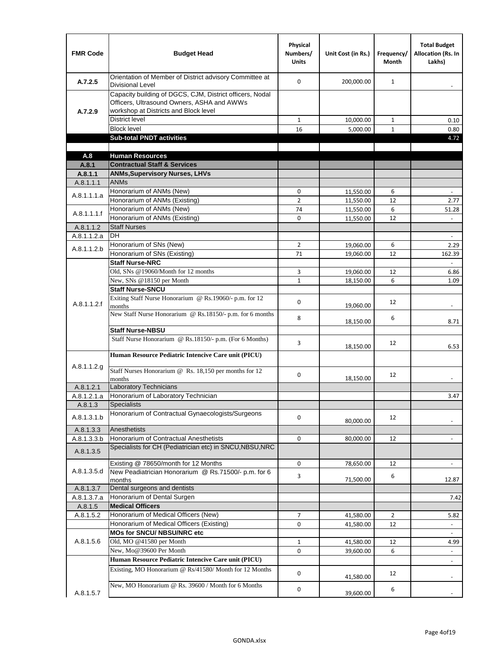| <b>FMR Code</b>      | <b>Budget Head</b>                                                                                                                              | Physical<br>Numbers/<br><b>Units</b> | Unit Cost (in Rs.)     | Frequency/<br><b>Month</b> | <b>Total Budget</b><br><b>Allocation (Rs. In</b><br>Lakhs) |
|----------------------|-------------------------------------------------------------------------------------------------------------------------------------------------|--------------------------------------|------------------------|----------------------------|------------------------------------------------------------|
| A.7.2.5              | Orientation of Member of District advisory Committee at<br><b>Divisional Level</b>                                                              | $\Omega$                             | 200,000.00             | $\mathbf{1}$               | $\overline{\phantom{m}}$                                   |
| A.7.2.9              | Capacity building of DGCS, CJM, District officers, Nodal<br>Officers, Ultrasound Owners, ASHA and AWWs<br>workshop at Districts and Block level |                                      |                        |                            |                                                            |
|                      | <b>District level</b>                                                                                                                           | $\mathbf{1}$                         | 10,000.00              | $\mathbf{1}$               | 0.10                                                       |
|                      | <b>Block level</b>                                                                                                                              | 16                                   | 5,000.00               | $\mathbf{1}$               | 0.80                                                       |
|                      | <b>Sub-total PNDT activities</b>                                                                                                                |                                      |                        |                            | 4.72                                                       |
|                      |                                                                                                                                                 |                                      |                        |                            |                                                            |
| A.8                  | <b>Human Resources</b>                                                                                                                          |                                      |                        |                            |                                                            |
| A.8.1                | <b>Contractual Staff &amp; Services</b>                                                                                                         |                                      |                        |                            |                                                            |
| A.8.1.1<br>A.8.1.1.1 | <b>ANMs, Supervisory Nurses, LHVs</b><br><b>ANMs</b>                                                                                            |                                      |                        |                            |                                                            |
|                      | Honorarium of ANMs (New)                                                                                                                        | 0                                    |                        | 6                          |                                                            |
| A.8.1.1.1.a          | Honorarium of ANMs (Existing)                                                                                                                   | $\overline{2}$                       | 11,550.00<br>11,550.00 | 12                         | 2.77                                                       |
|                      | Honorarium of ANMs (New)                                                                                                                        | 74                                   | 11,550.00              | 6                          | 51.28                                                      |
| A.8.1.1.1.f          | Honorarium of ANMs (Existing)                                                                                                                   | 0                                    | 11,550.00              | 12                         | $\blacksquare$                                             |
| A.8.1.1.2            | <b>Staff Nurses</b>                                                                                                                             |                                      |                        |                            |                                                            |
| A.8.1.1.2.a          | <b>DH</b>                                                                                                                                       |                                      |                        |                            | $\blacksquare$                                             |
|                      | Honorarium of SNs (New)                                                                                                                         | $\overline{2}$                       | 19,060.00              | 6                          | 2.29                                                       |
| A.8.1.1.2.b          | Honorarium of SNs (Existing)                                                                                                                    | 71                                   | 19.060.00              | 12                         | 162.39                                                     |
|                      | <b>Staff Nurse-NRC</b>                                                                                                                          |                                      |                        |                            | $\mathbf{r}$                                               |
|                      | Old, SNs @19060/Month for 12 months                                                                                                             | 3                                    | 19,060.00              | 12                         | 6.86                                                       |
|                      | New, SNs @18150 per Month                                                                                                                       | $\mathbf{1}$                         | 18,150.00              | 6                          | 1.09                                                       |
|                      | <b>Staff Nurse-SNCU</b>                                                                                                                         |                                      |                        |                            |                                                            |
| A.8.1.1.2.f          | Exiting Staff Nurse Honorarium @ Rs.19060/- p.m. for 12<br>months                                                                               | $\Omega$                             | 19,060.00              | 12                         | -                                                          |
|                      | New Staff Nurse Honorarium @ Rs.18150/- p.m. for 6 months                                                                                       | 8                                    | 18,150.00              | 6                          | 8.71                                                       |
|                      | <b>Staff Nurse-NBSU</b>                                                                                                                         |                                      |                        |                            |                                                            |
|                      | Staff Nurse Honorarium @ Rs.18150/- p.m. (For 6 Months)                                                                                         | 3                                    | 18,150.00              | 12                         | 6.53                                                       |
|                      | Human Resource Pediatric Intencive Care unit (PICU)                                                                                             |                                      |                        |                            |                                                            |
| A.8.1.1.2.g          | Staff Nurses Honorarium @ Rs. 18,150 per months for 12<br>months                                                                                | 0                                    | 18,150.00              | 12                         |                                                            |
| A.8.1.2.1            | Laboratory Technicians                                                                                                                          |                                      |                        |                            |                                                            |
| A.8.1.2.1.a          | Honorarium of Laboratory Technician                                                                                                             |                                      |                        |                            | 3.47                                                       |
| A.8.1.3              | <b>Specialists</b>                                                                                                                              |                                      |                        |                            |                                                            |
| A.8.1.3.1.b          | Honorarium of Contractual Gynaecologists/Surgeons                                                                                               | $\mathbf 0$                          | 80,000.00              | 12                         |                                                            |
| A.8.1.3.3            | Anesthetists                                                                                                                                    |                                      |                        |                            |                                                            |
| A.8.1.3.3.b          | Honorarium of Contractual Anesthetists                                                                                                          | 0                                    | 80,000.00              | 12                         |                                                            |
| A.8.1.3.5            | Specialists for CH (Pediatrician etc) in SNCU, NBSU, NRC                                                                                        |                                      |                        |                            |                                                            |
|                      | Existing @ 78650/month for 12 Months                                                                                                            | 0                                    | 78,650.00              | 12                         | $\blacksquare$                                             |
| A.8.1.3.5.d          | New Peadiatrician Honorarium @ Rs.71500/- p.m. for 6<br>months                                                                                  | 3                                    | 71,500.00              | 6                          | 12.87                                                      |
| A.8.1.3.7            | Dental surgeons and dentists                                                                                                                    |                                      |                        |                            |                                                            |
| A.8.1.3.7.a          | Honorarium of Dental Surgen                                                                                                                     |                                      |                        |                            | 7.42                                                       |
| A.8.1.5              | <b>Medical Officers</b>                                                                                                                         |                                      |                        |                            |                                                            |
| A.8.1.5.2            | Honorarium of Medical Officers (New)                                                                                                            | $\overline{7}$                       | 41,580.00              | $\overline{2}$             | 5.82                                                       |
|                      | Honorarium of Medical Officers (Existing)                                                                                                       | 0                                    | 41,580.00              | 12                         |                                                            |
| A.8.1.5.6            | MOs for SNCU/ NBSU/NRC etc<br>Old, MO @41580 per Month                                                                                          | $\mathbf{1}$                         | 41,580.00              | 12                         |                                                            |
|                      | New, Mo@39600 Per Month                                                                                                                         | 0                                    | 39,600.00              | 6                          | 4.99<br>$\blacksquare$                                     |
|                      | Human Resource Pediatric Intencive Care unit (PICU)                                                                                             |                                      |                        |                            |                                                            |
|                      | Existing, MO Honorarium @ Rs/41580/ Month for 12 Months                                                                                         | $\mathbf 0$                          | 41,580.00              | 12                         | $\frac{1}{2}$                                              |
| A.8.1.5.7            | New, MO Honorarium @ Rs. 39600 / Month for 6 Months                                                                                             | 0                                    | 39,600.00              | 6                          |                                                            |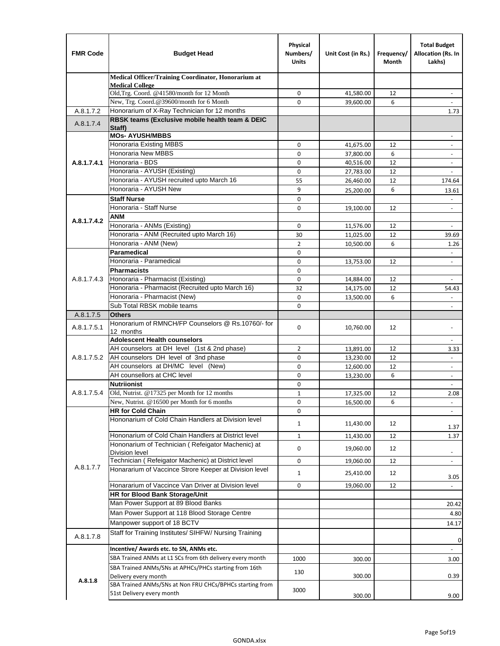| <b>FMR Code</b> | <b>Budget Head</b>                                                         | Physical<br>Numbers/<br><b>Units</b> | Unit Cost (in Rs.)     | Frequency/<br>Month | <b>Total Budget</b><br>Allocation (Rs. In<br>Lakhs) |
|-----------------|----------------------------------------------------------------------------|--------------------------------------|------------------------|---------------------|-----------------------------------------------------|
|                 | Medical Officer/Training Coordinator, Honorarium at                        |                                      |                        |                     |                                                     |
|                 | <b>Medical College</b><br>Old, Trg. Coord. @41580/month for 12 Month       | 0                                    | 41,580.00              | 12                  | $\qquad \qquad \blacksquare$                        |
|                 | New, Trg. Coord.@39600/month for 6 Month                                   | $\Omega$                             | 39,600.00              | 6                   |                                                     |
| A.8.1.7.2       | Honorarium of X-Ray Technician for 12 months                               |                                      |                        |                     | 1.73                                                |
|                 | RBSK teams (Exclusive mobile health team & DEIC                            |                                      |                        |                     |                                                     |
| A.8.1.7.4       | Staff)                                                                     |                                      |                        |                     |                                                     |
|                 | <b>MOs- AYUSH/MBBS</b>                                                     |                                      |                        |                     |                                                     |
|                 | Honoraria Existing MBBS                                                    | $\mathbf 0$                          | 41,675.00              | 12                  | $\overline{\phantom{a}}$                            |
|                 | <b>Honoraria New MBBS</b><br>Honoraria - BDS                               | 0                                    | 37,800.00              | 6                   | $\blacksquare$                                      |
| A.8.1.7.4.1     | Honoraria - AYUSH (Existing)                                               | 0<br>$\mathbf 0$                     | 40,516.00<br>27,783.00 | 12<br>12            | $\blacksquare$<br>$\blacksquare$                    |
|                 | Honoraria - AYUSH recruited upto March 16                                  | 55                                   | 26,460.00              | 12                  | 174.64                                              |
|                 | Honoraria - AYUSH New                                                      | 9                                    | 25,200.00              | 6                   | 13.61                                               |
|                 | <b>Staff Nurse</b>                                                         | $\Omega$                             |                        |                     |                                                     |
|                 | Honoraria - Staff Nurse                                                    | 0                                    | 19,100.00              | 12                  | $\overline{\phantom{a}}$                            |
|                 | <b>ANM</b>                                                                 |                                      |                        |                     |                                                     |
| A.8.1.7.4.2     | Honoraria - ANMs (Existing)                                                | $\mathbf 0$                          | 11,576.00              | 12                  | ÷,                                                  |
|                 | Honoraria - ANM (Recruited upto March 16)                                  | 30                                   | 11,025.00              | 12                  | 39.69                                               |
|                 | Honoraria - ANM (New)                                                      | $\overline{2}$                       | 10,500.00              | 6                   | 1.26                                                |
|                 | Paramedical                                                                | $\mathbf 0$                          |                        |                     | $\blacksquare$                                      |
|                 | Honoraria - Paramedical                                                    | $\mathbf 0$                          | 13,753.00              | 12                  | $\blacksquare$                                      |
|                 | <b>Pharmacists</b>                                                         | 0                                    |                        |                     |                                                     |
| A.8.1.7.4.3     | Honoraria - Pharmacist (Existing)                                          | $\mathbf 0$                          | 14,884.00              | 12                  | $\overline{\phantom{a}}$                            |
|                 | Honoraria - Pharmacist (Recruited upto March 16)                           | 32                                   | 14,175.00              | 12                  | 54.43                                               |
|                 | Honoraria - Pharmacist (New)                                               | $\Omega$                             | 13,500.00              | 6                   |                                                     |
|                 | Sub Total RBSK mobile teams                                                | $\Omega$                             |                        |                     | $\overline{\phantom{a}}$                            |
| A.8.1.7.5       | <b>Others</b>                                                              |                                      |                        |                     |                                                     |
| A.8.1.7.5.1     | Honorarium of RMNCH/FP Counselors @ Rs.10760/- for<br>12 months            | $\mathbf 0$                          | 10,760.00              | 12                  |                                                     |
|                 | <b>Adolescent Health counselors</b>                                        |                                      |                        |                     | $\blacksquare$                                      |
|                 | AH counselors at DH level (1st & 2nd phase)                                | 2                                    | 13,891.00              | 12                  | 3.33                                                |
| A.8.1.7.5.2     | AH counselors DH level of 3nd phase                                        | $\mathbf 0$                          | 13,230.00              | 12                  | $\blacksquare$                                      |
|                 | AH counselors at DH/MC level (New)                                         | 0                                    | 12,600.00              | 12                  | $\overline{\phantom{a}}$                            |
|                 | AH counsellors at CHC level                                                | $\mathbf 0$                          | 13,230.00              | 6                   | $\blacksquare$                                      |
|                 | <b>Nutriionist</b>                                                         | $\mathbf 0$                          |                        |                     | $\overline{\phantom{a}}$                            |
| A.8.1.7.5.4     | Old, Nutrist. @17325 per Month for 12 months                               | $\mathbf{1}$                         | 17,325.00              | 12                  | 2.08                                                |
|                 | New, Nutrist. $@16500$ per Month for 6 months                              | 0                                    | 16,500.00              | 6                   | $\overline{\phantom{a}}$                            |
|                 | <b>HR for Cold Chain</b>                                                   | 0                                    |                        |                     |                                                     |
|                 | Hononarium of Cold Chain Handlers at Division level                        | 1                                    | 11,430.00              | 12                  |                                                     |
|                 |                                                                            |                                      |                        |                     | 1.37                                                |
|                 | Hononarium of Cold Chain Handlers at District level                        | $\mathbf{1}$                         | 11,430.00              | 12                  | 1.37                                                |
|                 | Hononarium of Technician (Refeigator Machenic) at<br><b>Division level</b> | 0                                    | 19,060.00              | 12                  | $\overline{\phantom{a}}$                            |
|                 | Technician (Refeigator Machenic) at District level                         | 0                                    | 19,060.00              | 12                  | $\blacksquare$                                      |
| A.8.1.7.7       | Honararium of Vaccince Strore Keeper at Division level                     |                                      |                        |                     |                                                     |
|                 |                                                                            | $\mathbf{1}$                         | 25,410.00              | 12                  | 3.05                                                |
|                 | Honararium of Vaccince Van Driver at Division level                        | 0                                    | 19,060.00              | 12                  |                                                     |
|                 | HR for Blood Bank Storage/Unit                                             |                                      |                        |                     |                                                     |
|                 | Man Power Support at 89 Blood Banks                                        |                                      |                        |                     | 20.42                                               |
|                 | Man Power Support at 118 Blood Storage Centre                              |                                      |                        |                     | 4.80                                                |
|                 | Manpower support of 18 BCTV                                                |                                      |                        |                     | 14.17                                               |
| A.8.1.7.8       | Staff for Training Institutes/ SIHFW/ Nursing Training                     |                                      |                        |                     | $\mathbf 0$                                         |
|                 | Incentive/ Awards etc. to SN, ANMs etc.                                    |                                      |                        |                     | ÷,                                                  |
|                 | SBA Trained ANMs at L1 SCs from 6th delivery every month                   | 1000                                 | 300.00                 |                     | 3.00                                                |
|                 | SBA Trained ANMs/SNs at APHCs/PHCs starting from 16th                      |                                      |                        |                     |                                                     |
|                 | Delivery every month                                                       | 130                                  | 300.00                 |                     | 0.39                                                |
| A.8.1.8         | SBA Trained ANMs/SNs at Non FRU CHCs/BPHCs starting from                   |                                      |                        |                     |                                                     |
|                 | 51st Delivery every month                                                  | 3000                                 | 300.00                 |                     | 9.00                                                |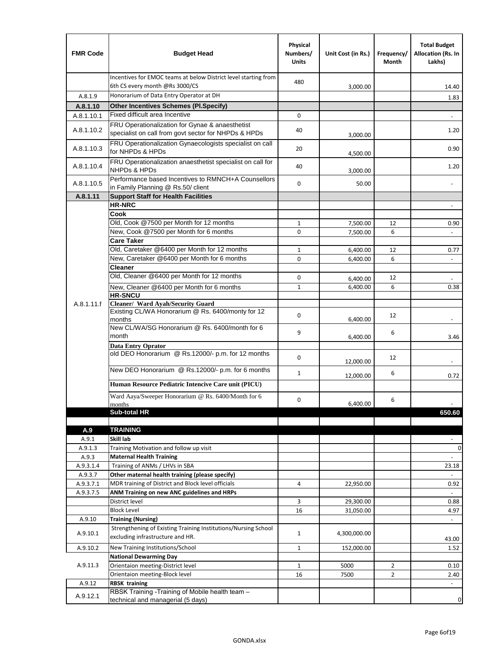| <b>FMR Code</b>  | <b>Budget Head</b>                                                                                      | Physical<br>Numbers/<br><b>Units</b> | Unit Cost (in Rs.)   | Frequency/<br>Month | <b>Total Budget</b><br>Allocation (Rs. In<br>Lakhs) |
|------------------|---------------------------------------------------------------------------------------------------------|--------------------------------------|----------------------|---------------------|-----------------------------------------------------|
|                  | Incentives for EMOC teams at below District level starting from<br>6th CS every month @Rs 3000/CS       | 480                                  | 3,000.00             |                     | 14.40                                               |
| A.8.1.9          | Honorarium of Data Entry Operator at DH                                                                 |                                      |                      |                     | 1.83                                                |
| A.8.1.10         | <b>Other Incentives Schemes (PI.Specify)</b>                                                            |                                      |                      |                     |                                                     |
| A.8.1.10.1       | Fixed difficult area Incentive                                                                          | $\mathbf 0$                          |                      |                     |                                                     |
| A.8.1.10.2       | FRU Operationalization for Gynae & anaesthetist<br>specialist on call from govt sector for NHPDs & HPDs | 40                                   | 3,000.00             |                     | 1.20                                                |
| A.8.1.10.3       | FRU Operationalization Gynaecologists specialist on call<br>for NHPDs & HPDs                            | 20                                   | 4,500.00             |                     | 0.90                                                |
| A.8.1.10.4       | FRU Operationalization anaesthetist specialist on call for<br><b>NHPDs &amp; HPDs</b>                   | 40                                   | 3,000.00             |                     | 1.20                                                |
| A.8.1.10.5       | Performance based Incentives to RMNCH+A Counsellors<br>in Family Planning @ Rs.50/ client               | $\mathbf 0$                          | 50.00                |                     | $\frac{1}{2}$                                       |
| A.8.1.11         | <b>Support Staff for Health Facilities</b>                                                              |                                      |                      |                     |                                                     |
|                  | <b>HR-NRC</b>                                                                                           |                                      |                      |                     | $\blacksquare$                                      |
|                  | Cook                                                                                                    |                                      |                      |                     |                                                     |
|                  | Old, Cook @7500 per Month for 12 months                                                                 | $\mathbf{1}$                         | 7,500.00             | 12                  | 0.90                                                |
|                  | New, Cook @7500 per Month for 6 months                                                                  | 0                                    | 7,500.00             | 6                   | $\Box$                                              |
|                  | <b>Care Taker</b><br>Old, Caretaker @6400 per Month for 12 months                                       | $\mathbf{1}$                         |                      | 12                  |                                                     |
|                  | New, Caretaker @6400 per Month for 6 months                                                             | 0                                    | 6,400.00<br>6,400.00 | 6                   | 0.77<br>÷,                                          |
|                  | <b>Cleaner</b>                                                                                          |                                      |                      |                     |                                                     |
|                  | Old, Cleaner @6400 per Month for 12 months                                                              | 0                                    | 6,400.00             | 12                  |                                                     |
|                  | New, Cleaner @6400 per Month for 6 months                                                               | $\mathbf{1}$                         | 6,400.00             | 6                   | 0.38                                                |
|                  | <b>HR-SNCU</b>                                                                                          |                                      |                      |                     |                                                     |
| A.8.1.11.f       | Cleaner/ Ward Ayah/Security Guard                                                                       |                                      |                      |                     |                                                     |
|                  | Existing CL/WA Honorarium @ Rs. 6400/monty for 12<br>months                                             | $\mathbf 0$                          | 6,400.00             | 12                  |                                                     |
|                  | New CL/WA/SG Honorarium @ Rs. 6400/month for 6<br>month                                                 | 9                                    | 6,400.00             | 6                   | 3.46                                                |
|                  | <b>Data Entry Oprator</b>                                                                               |                                      |                      |                     |                                                     |
|                  | old DEO Honorarium @ Rs.12000/- p.m. for 12 months<br>New DEO Honorarium @ Rs.12000/- p.m. for 6 months | $\mathbf 0$                          | 12,000.00            | 12                  |                                                     |
|                  |                                                                                                         | $\mathbf{1}$                         | 12,000.00            | 6                   | 0.72                                                |
|                  | Human Resource Pediatric Intencive Care unit (PICU)                                                     |                                      |                      |                     |                                                     |
|                  | Ward Aaya/Sweeper Honorarium @ Rs. 6400/Month for 6                                                     |                                      |                      |                     |                                                     |
|                  | months                                                                                                  | 0                                    | 6,400.00             | 6                   |                                                     |
|                  | Sub-total HR                                                                                            |                                      |                      |                     | 650.60                                              |
|                  |                                                                                                         |                                      |                      |                     |                                                     |
| A.9              | <b>TRAINING</b><br>Skill lab                                                                            |                                      |                      |                     |                                                     |
| A.9.1<br>A.9.1.3 | Training Motivation and follow up visit                                                                 |                                      |                      |                     | $\mathbf 0$                                         |
| A.9.3            | <b>Maternal Health Training</b>                                                                         |                                      |                      |                     |                                                     |
| A.9.3.1.4        | Training of ANMs / LHVs in SBA                                                                          |                                      |                      |                     | 23.18                                               |
| A.9.3.7          | Other maternal health training (please specify)                                                         |                                      |                      |                     |                                                     |
| A.9.3.7.1        | MDR training of District and Block level officials                                                      | 4                                    | 22,950.00            |                     | 0.92                                                |
| A.9.3.7.5        | ANM Training on new ANC guidelines and HRPs                                                             |                                      |                      |                     |                                                     |
|                  | District level                                                                                          | 3                                    | 29,300.00            |                     | 0.88                                                |
|                  | <b>Block Level</b>                                                                                      | 16                                   | 31,050.00            |                     | 4.97                                                |
| A.9.10           | <b>Training (Nursing)</b>                                                                               |                                      |                      |                     |                                                     |
| A.9.10.1         | Strengthening of Existing Training Institutions/Nursing School<br>excluding infrastructure and HR.      | $\mathbf{1}$                         | 4,300,000.00         |                     | 43.00                                               |
| A.9.10.2         | New Training Institutions/School                                                                        | $\mathbf{1}$                         | 152,000.00           |                     | 1.52                                                |
|                  | <b>National Dewarming Day</b>                                                                           |                                      |                      |                     |                                                     |
| A.9.11.3         | Orientaion meeting-District level                                                                       | 1                                    | 5000                 | $\overline{2}$      | 0.10                                                |
|                  | Orientaion meeting-Block level                                                                          | 16                                   | 7500                 | $\overline{2}$      | 2.40                                                |
| A.9.12           | <b>RBSK training</b>                                                                                    |                                      |                      |                     |                                                     |
| A.9.12.1         | RBSK Training -Training of Mobile health team -<br>technical and managerial (5 days)                    |                                      |                      |                     | 0                                                   |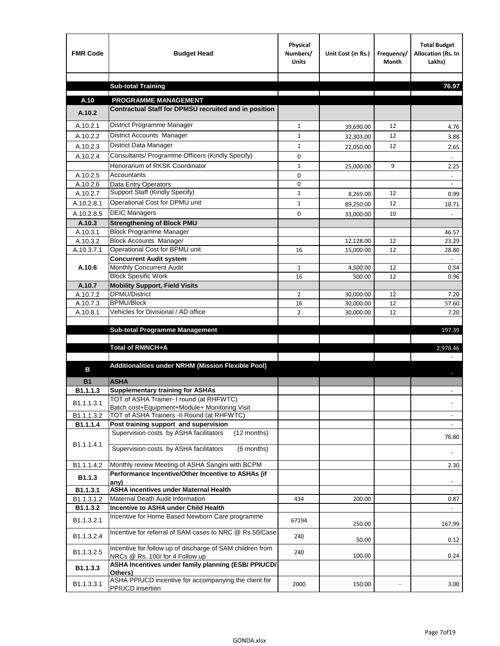| <b>Sub-total Training</b><br>76.97<br>A.10<br><b>PROGRAMME MANAGEMENT</b><br>Contractual Staff for DPMSU recruited and in position<br>A.10.2<br>District Programme Manager<br>A.10.2.1<br>$\mathbf{1}$<br>12<br>39,690.00<br>4.76<br>District Accounts Manager<br>A.10.2.2<br>1<br>12<br>32,303.00<br>3.88<br>District Data Manager<br>A.10.2.3<br>$\mathbf{1}$<br>12<br>22,050.00<br>2.65<br>Consultants/ Programme Officers (Kindly Specify)<br>A.10.2.4<br>$\mathbf 0$<br>Honorarium of RKSK Coordinator<br>$\mathbf{1}$<br>9<br>2.25<br>25,000.00<br>A.10.2.5<br>Accountants<br>0<br>0<br>A.10.2.6<br>Data Entry Operators<br>$\overline{\phantom{a}}$<br>Support Staff (Kindly Specify)<br>A.10.2.7<br>$\mathbf{1}$<br>12<br>8,269.00<br>0.99<br>Operational Cost for DPMU unit<br>A.10.2.8.1<br>$\mathbf{1}$<br>12<br>89,250.00<br>10.71<br><b>DEIC Managers</b><br>A.10.2.8.5<br>$\mathbf 0$<br>10<br>33,000.00<br><b>Strengthening of Block PMU</b><br>A.10.3<br><b>Block Programme Manager</b><br>A.10.3.1<br>46.57<br><b>Block Accounts Manager</b><br>A.10.3.2<br>12<br>12,128.00<br>23.29<br>Operational Cost for BPMU unit<br>A.10.3.7.1<br>16<br>15,000.00<br>12<br>28.80<br><b>Concurrent Audit system</b><br>Monthly Concurrent Audit<br>A.10.6<br>$\mathbf{1}$<br>12<br>4,500.00<br>0.54<br><b>Block Spesific Work</b><br>16<br>12<br>500.00<br>0.96<br><b>Mobility Support, Field Visits</b><br>A.10.7<br>DPMU/District<br>A.10.7.2<br>2<br>30,000.00<br>12<br>7.20<br><b>BPMU/Block</b><br>A.10.7.3<br>16<br>12<br>30,000.00<br>57.60<br>Vehicles for Divisional / AD office<br>$\overline{2}$<br>A.10.8.1<br>30,000.00<br>12<br>7.20<br><b>Sub-total Programme Management</b><br>197.39<br>Total of RMNCH+A<br>2,978.46<br>Additionalities under NRHM (Mission Flexible Pool)<br>в<br><b>ASHA</b><br><b>B1</b><br><b>Supplementary training for ASHAs</b><br>B1.1.1.3<br>TOT of ASHA Trainer- I round (at RHFWTC)<br>B1.1.1.3.1<br>Batch cost+Equipment+Module+ Monitoring Visit<br>TOT of ASHA Trainers -II Round (at RHFWTC)<br>B1.1.1.3.2<br>Post training support and supervision<br>B1.1.1.4<br>$\sim$<br>Supervision costs by ASHA facilitators<br>(12 months)<br>76.80<br>B1.1.1.4.1<br>Supervision costs by ASHA facilitators<br>(6 months)<br>Monthly review Meeting of ASHA Sangini with BCPM<br>B1.1.1.4.2<br>2.30<br>Performance Incentive/Other Incentive to ASHAs (if<br>B1.1.3<br>any)<br><b>ASHA incentives under Maternal Health</b><br>B1.1.3.1<br>B1.1.3.1.2<br>Maternal Death Audit Information<br>434<br>200.00<br>0.87<br>Incentive to ASHA under Child Health<br>B1.1.3.2<br>÷.<br>Incentive for Home Based Newborn Care programme<br>B1.1.3.2.1<br>67194<br>250.00<br>167.99<br>Incentive for referral of SAM cases to NRC @ Rs.50/Case<br>B1.1.3.2.4<br>240<br>50.00<br>0.12<br>Incentive for follow up of discharge of SAM children from<br>B1.1.3.2.5<br>240<br>100.00<br>0.24<br>NRCs @ Rs. 100/ for 4 Follow up<br>ASHA Incentives under family planning (ESB/ PPIUCD/<br>B1.1.3.3<br>Others)<br>ASHA PPIUCD incentive for accompanying the client for<br>B1.1.3.3.1<br>2000<br>150.00<br>3.00<br>PPIUCD insertion | <b>FMR Code</b> | <b>Budget Head</b> | Physical<br>Numbers/<br><b>Units</b> | Unit Cost (in Rs.) | Frequency/<br><b>Month</b> | <b>Total Budget</b><br>Allocation (Rs. In<br>Lakhs) |
|---------------------------------------------------------------------------------------------------------------------------------------------------------------------------------------------------------------------------------------------------------------------------------------------------------------------------------------------------------------------------------------------------------------------------------------------------------------------------------------------------------------------------------------------------------------------------------------------------------------------------------------------------------------------------------------------------------------------------------------------------------------------------------------------------------------------------------------------------------------------------------------------------------------------------------------------------------------------------------------------------------------------------------------------------------------------------------------------------------------------------------------------------------------------------------------------------------------------------------------------------------------------------------------------------------------------------------------------------------------------------------------------------------------------------------------------------------------------------------------------------------------------------------------------------------------------------------------------------------------------------------------------------------------------------------------------------------------------------------------------------------------------------------------------------------------------------------------------------------------------------------------------------------------------------------------------------------------------------------------------------------------------------------------------------------------------------------------------------------------------------------------------------------------------------------------------------------------------------------------------------------------------------------------------------------------------------------------------------------------------------------------------------------------------------------------------------------------------------------------------------------------------------------------------------------------------------------------------------------------------------------------------------------------------------------------------------------------------------------------------------------------------------------------------------------------------------------------------------------------------------------------------------------------------------------------------------------------------------------------------------------------------------------------------------------------------------------------------------------------------------------------------------------------------|-----------------|--------------------|--------------------------------------|--------------------|----------------------------|-----------------------------------------------------|
|                                                                                                                                                                                                                                                                                                                                                                                                                                                                                                                                                                                                                                                                                                                                                                                                                                                                                                                                                                                                                                                                                                                                                                                                                                                                                                                                                                                                                                                                                                                                                                                                                                                                                                                                                                                                                                                                                                                                                                                                                                                                                                                                                                                                                                                                                                                                                                                                                                                                                                                                                                                                                                                                                                                                                                                                                                                                                                                                                                                                                                                                                                                                                                     |                 |                    |                                      |                    |                            |                                                     |
|                                                                                                                                                                                                                                                                                                                                                                                                                                                                                                                                                                                                                                                                                                                                                                                                                                                                                                                                                                                                                                                                                                                                                                                                                                                                                                                                                                                                                                                                                                                                                                                                                                                                                                                                                                                                                                                                                                                                                                                                                                                                                                                                                                                                                                                                                                                                                                                                                                                                                                                                                                                                                                                                                                                                                                                                                                                                                                                                                                                                                                                                                                                                                                     |                 |                    |                                      |                    |                            |                                                     |
|                                                                                                                                                                                                                                                                                                                                                                                                                                                                                                                                                                                                                                                                                                                                                                                                                                                                                                                                                                                                                                                                                                                                                                                                                                                                                                                                                                                                                                                                                                                                                                                                                                                                                                                                                                                                                                                                                                                                                                                                                                                                                                                                                                                                                                                                                                                                                                                                                                                                                                                                                                                                                                                                                                                                                                                                                                                                                                                                                                                                                                                                                                                                                                     |                 |                    |                                      |                    |                            |                                                     |
|                                                                                                                                                                                                                                                                                                                                                                                                                                                                                                                                                                                                                                                                                                                                                                                                                                                                                                                                                                                                                                                                                                                                                                                                                                                                                                                                                                                                                                                                                                                                                                                                                                                                                                                                                                                                                                                                                                                                                                                                                                                                                                                                                                                                                                                                                                                                                                                                                                                                                                                                                                                                                                                                                                                                                                                                                                                                                                                                                                                                                                                                                                                                                                     |                 |                    |                                      |                    |                            |                                                     |
|                                                                                                                                                                                                                                                                                                                                                                                                                                                                                                                                                                                                                                                                                                                                                                                                                                                                                                                                                                                                                                                                                                                                                                                                                                                                                                                                                                                                                                                                                                                                                                                                                                                                                                                                                                                                                                                                                                                                                                                                                                                                                                                                                                                                                                                                                                                                                                                                                                                                                                                                                                                                                                                                                                                                                                                                                                                                                                                                                                                                                                                                                                                                                                     |                 |                    |                                      |                    |                            |                                                     |
|                                                                                                                                                                                                                                                                                                                                                                                                                                                                                                                                                                                                                                                                                                                                                                                                                                                                                                                                                                                                                                                                                                                                                                                                                                                                                                                                                                                                                                                                                                                                                                                                                                                                                                                                                                                                                                                                                                                                                                                                                                                                                                                                                                                                                                                                                                                                                                                                                                                                                                                                                                                                                                                                                                                                                                                                                                                                                                                                                                                                                                                                                                                                                                     |                 |                    |                                      |                    |                            |                                                     |
|                                                                                                                                                                                                                                                                                                                                                                                                                                                                                                                                                                                                                                                                                                                                                                                                                                                                                                                                                                                                                                                                                                                                                                                                                                                                                                                                                                                                                                                                                                                                                                                                                                                                                                                                                                                                                                                                                                                                                                                                                                                                                                                                                                                                                                                                                                                                                                                                                                                                                                                                                                                                                                                                                                                                                                                                                                                                                                                                                                                                                                                                                                                                                                     |                 |                    |                                      |                    |                            |                                                     |
|                                                                                                                                                                                                                                                                                                                                                                                                                                                                                                                                                                                                                                                                                                                                                                                                                                                                                                                                                                                                                                                                                                                                                                                                                                                                                                                                                                                                                                                                                                                                                                                                                                                                                                                                                                                                                                                                                                                                                                                                                                                                                                                                                                                                                                                                                                                                                                                                                                                                                                                                                                                                                                                                                                                                                                                                                                                                                                                                                                                                                                                                                                                                                                     |                 |                    |                                      |                    |                            |                                                     |
|                                                                                                                                                                                                                                                                                                                                                                                                                                                                                                                                                                                                                                                                                                                                                                                                                                                                                                                                                                                                                                                                                                                                                                                                                                                                                                                                                                                                                                                                                                                                                                                                                                                                                                                                                                                                                                                                                                                                                                                                                                                                                                                                                                                                                                                                                                                                                                                                                                                                                                                                                                                                                                                                                                                                                                                                                                                                                                                                                                                                                                                                                                                                                                     |                 |                    |                                      |                    |                            |                                                     |
|                                                                                                                                                                                                                                                                                                                                                                                                                                                                                                                                                                                                                                                                                                                                                                                                                                                                                                                                                                                                                                                                                                                                                                                                                                                                                                                                                                                                                                                                                                                                                                                                                                                                                                                                                                                                                                                                                                                                                                                                                                                                                                                                                                                                                                                                                                                                                                                                                                                                                                                                                                                                                                                                                                                                                                                                                                                                                                                                                                                                                                                                                                                                                                     |                 |                    |                                      |                    |                            |                                                     |
|                                                                                                                                                                                                                                                                                                                                                                                                                                                                                                                                                                                                                                                                                                                                                                                                                                                                                                                                                                                                                                                                                                                                                                                                                                                                                                                                                                                                                                                                                                                                                                                                                                                                                                                                                                                                                                                                                                                                                                                                                                                                                                                                                                                                                                                                                                                                                                                                                                                                                                                                                                                                                                                                                                                                                                                                                                                                                                                                                                                                                                                                                                                                                                     |                 |                    |                                      |                    |                            |                                                     |
|                                                                                                                                                                                                                                                                                                                                                                                                                                                                                                                                                                                                                                                                                                                                                                                                                                                                                                                                                                                                                                                                                                                                                                                                                                                                                                                                                                                                                                                                                                                                                                                                                                                                                                                                                                                                                                                                                                                                                                                                                                                                                                                                                                                                                                                                                                                                                                                                                                                                                                                                                                                                                                                                                                                                                                                                                                                                                                                                                                                                                                                                                                                                                                     |                 |                    |                                      |                    |                            |                                                     |
|                                                                                                                                                                                                                                                                                                                                                                                                                                                                                                                                                                                                                                                                                                                                                                                                                                                                                                                                                                                                                                                                                                                                                                                                                                                                                                                                                                                                                                                                                                                                                                                                                                                                                                                                                                                                                                                                                                                                                                                                                                                                                                                                                                                                                                                                                                                                                                                                                                                                                                                                                                                                                                                                                                                                                                                                                                                                                                                                                                                                                                                                                                                                                                     |                 |                    |                                      |                    |                            |                                                     |
|                                                                                                                                                                                                                                                                                                                                                                                                                                                                                                                                                                                                                                                                                                                                                                                                                                                                                                                                                                                                                                                                                                                                                                                                                                                                                                                                                                                                                                                                                                                                                                                                                                                                                                                                                                                                                                                                                                                                                                                                                                                                                                                                                                                                                                                                                                                                                                                                                                                                                                                                                                                                                                                                                                                                                                                                                                                                                                                                                                                                                                                                                                                                                                     |                 |                    |                                      |                    |                            |                                                     |
|                                                                                                                                                                                                                                                                                                                                                                                                                                                                                                                                                                                                                                                                                                                                                                                                                                                                                                                                                                                                                                                                                                                                                                                                                                                                                                                                                                                                                                                                                                                                                                                                                                                                                                                                                                                                                                                                                                                                                                                                                                                                                                                                                                                                                                                                                                                                                                                                                                                                                                                                                                                                                                                                                                                                                                                                                                                                                                                                                                                                                                                                                                                                                                     |                 |                    |                                      |                    |                            |                                                     |
|                                                                                                                                                                                                                                                                                                                                                                                                                                                                                                                                                                                                                                                                                                                                                                                                                                                                                                                                                                                                                                                                                                                                                                                                                                                                                                                                                                                                                                                                                                                                                                                                                                                                                                                                                                                                                                                                                                                                                                                                                                                                                                                                                                                                                                                                                                                                                                                                                                                                                                                                                                                                                                                                                                                                                                                                                                                                                                                                                                                                                                                                                                                                                                     |                 |                    |                                      |                    |                            |                                                     |
|                                                                                                                                                                                                                                                                                                                                                                                                                                                                                                                                                                                                                                                                                                                                                                                                                                                                                                                                                                                                                                                                                                                                                                                                                                                                                                                                                                                                                                                                                                                                                                                                                                                                                                                                                                                                                                                                                                                                                                                                                                                                                                                                                                                                                                                                                                                                                                                                                                                                                                                                                                                                                                                                                                                                                                                                                                                                                                                                                                                                                                                                                                                                                                     |                 |                    |                                      |                    |                            |                                                     |
|                                                                                                                                                                                                                                                                                                                                                                                                                                                                                                                                                                                                                                                                                                                                                                                                                                                                                                                                                                                                                                                                                                                                                                                                                                                                                                                                                                                                                                                                                                                                                                                                                                                                                                                                                                                                                                                                                                                                                                                                                                                                                                                                                                                                                                                                                                                                                                                                                                                                                                                                                                                                                                                                                                                                                                                                                                                                                                                                                                                                                                                                                                                                                                     |                 |                    |                                      |                    |                            |                                                     |
|                                                                                                                                                                                                                                                                                                                                                                                                                                                                                                                                                                                                                                                                                                                                                                                                                                                                                                                                                                                                                                                                                                                                                                                                                                                                                                                                                                                                                                                                                                                                                                                                                                                                                                                                                                                                                                                                                                                                                                                                                                                                                                                                                                                                                                                                                                                                                                                                                                                                                                                                                                                                                                                                                                                                                                                                                                                                                                                                                                                                                                                                                                                                                                     |                 |                    |                                      |                    |                            |                                                     |
|                                                                                                                                                                                                                                                                                                                                                                                                                                                                                                                                                                                                                                                                                                                                                                                                                                                                                                                                                                                                                                                                                                                                                                                                                                                                                                                                                                                                                                                                                                                                                                                                                                                                                                                                                                                                                                                                                                                                                                                                                                                                                                                                                                                                                                                                                                                                                                                                                                                                                                                                                                                                                                                                                                                                                                                                                                                                                                                                                                                                                                                                                                                                                                     |                 |                    |                                      |                    |                            |                                                     |
|                                                                                                                                                                                                                                                                                                                                                                                                                                                                                                                                                                                                                                                                                                                                                                                                                                                                                                                                                                                                                                                                                                                                                                                                                                                                                                                                                                                                                                                                                                                                                                                                                                                                                                                                                                                                                                                                                                                                                                                                                                                                                                                                                                                                                                                                                                                                                                                                                                                                                                                                                                                                                                                                                                                                                                                                                                                                                                                                                                                                                                                                                                                                                                     |                 |                    |                                      |                    |                            |                                                     |
|                                                                                                                                                                                                                                                                                                                                                                                                                                                                                                                                                                                                                                                                                                                                                                                                                                                                                                                                                                                                                                                                                                                                                                                                                                                                                                                                                                                                                                                                                                                                                                                                                                                                                                                                                                                                                                                                                                                                                                                                                                                                                                                                                                                                                                                                                                                                                                                                                                                                                                                                                                                                                                                                                                                                                                                                                                                                                                                                                                                                                                                                                                                                                                     |                 |                    |                                      |                    |                            |                                                     |
|                                                                                                                                                                                                                                                                                                                                                                                                                                                                                                                                                                                                                                                                                                                                                                                                                                                                                                                                                                                                                                                                                                                                                                                                                                                                                                                                                                                                                                                                                                                                                                                                                                                                                                                                                                                                                                                                                                                                                                                                                                                                                                                                                                                                                                                                                                                                                                                                                                                                                                                                                                                                                                                                                                                                                                                                                                                                                                                                                                                                                                                                                                                                                                     |                 |                    |                                      |                    |                            |                                                     |
|                                                                                                                                                                                                                                                                                                                                                                                                                                                                                                                                                                                                                                                                                                                                                                                                                                                                                                                                                                                                                                                                                                                                                                                                                                                                                                                                                                                                                                                                                                                                                                                                                                                                                                                                                                                                                                                                                                                                                                                                                                                                                                                                                                                                                                                                                                                                                                                                                                                                                                                                                                                                                                                                                                                                                                                                                                                                                                                                                                                                                                                                                                                                                                     |                 |                    |                                      |                    |                            |                                                     |
|                                                                                                                                                                                                                                                                                                                                                                                                                                                                                                                                                                                                                                                                                                                                                                                                                                                                                                                                                                                                                                                                                                                                                                                                                                                                                                                                                                                                                                                                                                                                                                                                                                                                                                                                                                                                                                                                                                                                                                                                                                                                                                                                                                                                                                                                                                                                                                                                                                                                                                                                                                                                                                                                                                                                                                                                                                                                                                                                                                                                                                                                                                                                                                     |                 |                    |                                      |                    |                            |                                                     |
|                                                                                                                                                                                                                                                                                                                                                                                                                                                                                                                                                                                                                                                                                                                                                                                                                                                                                                                                                                                                                                                                                                                                                                                                                                                                                                                                                                                                                                                                                                                                                                                                                                                                                                                                                                                                                                                                                                                                                                                                                                                                                                                                                                                                                                                                                                                                                                                                                                                                                                                                                                                                                                                                                                                                                                                                                                                                                                                                                                                                                                                                                                                                                                     |                 |                    |                                      |                    |                            |                                                     |
|                                                                                                                                                                                                                                                                                                                                                                                                                                                                                                                                                                                                                                                                                                                                                                                                                                                                                                                                                                                                                                                                                                                                                                                                                                                                                                                                                                                                                                                                                                                                                                                                                                                                                                                                                                                                                                                                                                                                                                                                                                                                                                                                                                                                                                                                                                                                                                                                                                                                                                                                                                                                                                                                                                                                                                                                                                                                                                                                                                                                                                                                                                                                                                     |                 |                    |                                      |                    |                            |                                                     |
|                                                                                                                                                                                                                                                                                                                                                                                                                                                                                                                                                                                                                                                                                                                                                                                                                                                                                                                                                                                                                                                                                                                                                                                                                                                                                                                                                                                                                                                                                                                                                                                                                                                                                                                                                                                                                                                                                                                                                                                                                                                                                                                                                                                                                                                                                                                                                                                                                                                                                                                                                                                                                                                                                                                                                                                                                                                                                                                                                                                                                                                                                                                                                                     |                 |                    |                                      |                    |                            |                                                     |
|                                                                                                                                                                                                                                                                                                                                                                                                                                                                                                                                                                                                                                                                                                                                                                                                                                                                                                                                                                                                                                                                                                                                                                                                                                                                                                                                                                                                                                                                                                                                                                                                                                                                                                                                                                                                                                                                                                                                                                                                                                                                                                                                                                                                                                                                                                                                                                                                                                                                                                                                                                                                                                                                                                                                                                                                                                                                                                                                                                                                                                                                                                                                                                     |                 |                    |                                      |                    |                            |                                                     |
|                                                                                                                                                                                                                                                                                                                                                                                                                                                                                                                                                                                                                                                                                                                                                                                                                                                                                                                                                                                                                                                                                                                                                                                                                                                                                                                                                                                                                                                                                                                                                                                                                                                                                                                                                                                                                                                                                                                                                                                                                                                                                                                                                                                                                                                                                                                                                                                                                                                                                                                                                                                                                                                                                                                                                                                                                                                                                                                                                                                                                                                                                                                                                                     |                 |                    |                                      |                    |                            |                                                     |
|                                                                                                                                                                                                                                                                                                                                                                                                                                                                                                                                                                                                                                                                                                                                                                                                                                                                                                                                                                                                                                                                                                                                                                                                                                                                                                                                                                                                                                                                                                                                                                                                                                                                                                                                                                                                                                                                                                                                                                                                                                                                                                                                                                                                                                                                                                                                                                                                                                                                                                                                                                                                                                                                                                                                                                                                                                                                                                                                                                                                                                                                                                                                                                     |                 |                    |                                      |                    |                            |                                                     |
|                                                                                                                                                                                                                                                                                                                                                                                                                                                                                                                                                                                                                                                                                                                                                                                                                                                                                                                                                                                                                                                                                                                                                                                                                                                                                                                                                                                                                                                                                                                                                                                                                                                                                                                                                                                                                                                                                                                                                                                                                                                                                                                                                                                                                                                                                                                                                                                                                                                                                                                                                                                                                                                                                                                                                                                                                                                                                                                                                                                                                                                                                                                                                                     |                 |                    |                                      |                    |                            |                                                     |
|                                                                                                                                                                                                                                                                                                                                                                                                                                                                                                                                                                                                                                                                                                                                                                                                                                                                                                                                                                                                                                                                                                                                                                                                                                                                                                                                                                                                                                                                                                                                                                                                                                                                                                                                                                                                                                                                                                                                                                                                                                                                                                                                                                                                                                                                                                                                                                                                                                                                                                                                                                                                                                                                                                                                                                                                                                                                                                                                                                                                                                                                                                                                                                     |                 |                    |                                      |                    |                            |                                                     |
|                                                                                                                                                                                                                                                                                                                                                                                                                                                                                                                                                                                                                                                                                                                                                                                                                                                                                                                                                                                                                                                                                                                                                                                                                                                                                                                                                                                                                                                                                                                                                                                                                                                                                                                                                                                                                                                                                                                                                                                                                                                                                                                                                                                                                                                                                                                                                                                                                                                                                                                                                                                                                                                                                                                                                                                                                                                                                                                                                                                                                                                                                                                                                                     |                 |                    |                                      |                    |                            |                                                     |
|                                                                                                                                                                                                                                                                                                                                                                                                                                                                                                                                                                                                                                                                                                                                                                                                                                                                                                                                                                                                                                                                                                                                                                                                                                                                                                                                                                                                                                                                                                                                                                                                                                                                                                                                                                                                                                                                                                                                                                                                                                                                                                                                                                                                                                                                                                                                                                                                                                                                                                                                                                                                                                                                                                                                                                                                                                                                                                                                                                                                                                                                                                                                                                     |                 |                    |                                      |                    |                            |                                                     |
|                                                                                                                                                                                                                                                                                                                                                                                                                                                                                                                                                                                                                                                                                                                                                                                                                                                                                                                                                                                                                                                                                                                                                                                                                                                                                                                                                                                                                                                                                                                                                                                                                                                                                                                                                                                                                                                                                                                                                                                                                                                                                                                                                                                                                                                                                                                                                                                                                                                                                                                                                                                                                                                                                                                                                                                                                                                                                                                                                                                                                                                                                                                                                                     |                 |                    |                                      |                    |                            |                                                     |
|                                                                                                                                                                                                                                                                                                                                                                                                                                                                                                                                                                                                                                                                                                                                                                                                                                                                                                                                                                                                                                                                                                                                                                                                                                                                                                                                                                                                                                                                                                                                                                                                                                                                                                                                                                                                                                                                                                                                                                                                                                                                                                                                                                                                                                                                                                                                                                                                                                                                                                                                                                                                                                                                                                                                                                                                                                                                                                                                                                                                                                                                                                                                                                     |                 |                    |                                      |                    |                            |                                                     |
|                                                                                                                                                                                                                                                                                                                                                                                                                                                                                                                                                                                                                                                                                                                                                                                                                                                                                                                                                                                                                                                                                                                                                                                                                                                                                                                                                                                                                                                                                                                                                                                                                                                                                                                                                                                                                                                                                                                                                                                                                                                                                                                                                                                                                                                                                                                                                                                                                                                                                                                                                                                                                                                                                                                                                                                                                                                                                                                                                                                                                                                                                                                                                                     |                 |                    |                                      |                    |                            |                                                     |
|                                                                                                                                                                                                                                                                                                                                                                                                                                                                                                                                                                                                                                                                                                                                                                                                                                                                                                                                                                                                                                                                                                                                                                                                                                                                                                                                                                                                                                                                                                                                                                                                                                                                                                                                                                                                                                                                                                                                                                                                                                                                                                                                                                                                                                                                                                                                                                                                                                                                                                                                                                                                                                                                                                                                                                                                                                                                                                                                                                                                                                                                                                                                                                     |                 |                    |                                      |                    |                            |                                                     |
|                                                                                                                                                                                                                                                                                                                                                                                                                                                                                                                                                                                                                                                                                                                                                                                                                                                                                                                                                                                                                                                                                                                                                                                                                                                                                                                                                                                                                                                                                                                                                                                                                                                                                                                                                                                                                                                                                                                                                                                                                                                                                                                                                                                                                                                                                                                                                                                                                                                                                                                                                                                                                                                                                                                                                                                                                                                                                                                                                                                                                                                                                                                                                                     |                 |                    |                                      |                    |                            |                                                     |
|                                                                                                                                                                                                                                                                                                                                                                                                                                                                                                                                                                                                                                                                                                                                                                                                                                                                                                                                                                                                                                                                                                                                                                                                                                                                                                                                                                                                                                                                                                                                                                                                                                                                                                                                                                                                                                                                                                                                                                                                                                                                                                                                                                                                                                                                                                                                                                                                                                                                                                                                                                                                                                                                                                                                                                                                                                                                                                                                                                                                                                                                                                                                                                     |                 |                    |                                      |                    |                            |                                                     |
|                                                                                                                                                                                                                                                                                                                                                                                                                                                                                                                                                                                                                                                                                                                                                                                                                                                                                                                                                                                                                                                                                                                                                                                                                                                                                                                                                                                                                                                                                                                                                                                                                                                                                                                                                                                                                                                                                                                                                                                                                                                                                                                                                                                                                                                                                                                                                                                                                                                                                                                                                                                                                                                                                                                                                                                                                                                                                                                                                                                                                                                                                                                                                                     |                 |                    |                                      |                    |                            |                                                     |
|                                                                                                                                                                                                                                                                                                                                                                                                                                                                                                                                                                                                                                                                                                                                                                                                                                                                                                                                                                                                                                                                                                                                                                                                                                                                                                                                                                                                                                                                                                                                                                                                                                                                                                                                                                                                                                                                                                                                                                                                                                                                                                                                                                                                                                                                                                                                                                                                                                                                                                                                                                                                                                                                                                                                                                                                                                                                                                                                                                                                                                                                                                                                                                     |                 |                    |                                      |                    |                            |                                                     |
|                                                                                                                                                                                                                                                                                                                                                                                                                                                                                                                                                                                                                                                                                                                                                                                                                                                                                                                                                                                                                                                                                                                                                                                                                                                                                                                                                                                                                                                                                                                                                                                                                                                                                                                                                                                                                                                                                                                                                                                                                                                                                                                                                                                                                                                                                                                                                                                                                                                                                                                                                                                                                                                                                                                                                                                                                                                                                                                                                                                                                                                                                                                                                                     |                 |                    |                                      |                    |                            |                                                     |
|                                                                                                                                                                                                                                                                                                                                                                                                                                                                                                                                                                                                                                                                                                                                                                                                                                                                                                                                                                                                                                                                                                                                                                                                                                                                                                                                                                                                                                                                                                                                                                                                                                                                                                                                                                                                                                                                                                                                                                                                                                                                                                                                                                                                                                                                                                                                                                                                                                                                                                                                                                                                                                                                                                                                                                                                                                                                                                                                                                                                                                                                                                                                                                     |                 |                    |                                      |                    |                            |                                                     |
|                                                                                                                                                                                                                                                                                                                                                                                                                                                                                                                                                                                                                                                                                                                                                                                                                                                                                                                                                                                                                                                                                                                                                                                                                                                                                                                                                                                                                                                                                                                                                                                                                                                                                                                                                                                                                                                                                                                                                                                                                                                                                                                                                                                                                                                                                                                                                                                                                                                                                                                                                                                                                                                                                                                                                                                                                                                                                                                                                                                                                                                                                                                                                                     |                 |                    |                                      |                    |                            |                                                     |
|                                                                                                                                                                                                                                                                                                                                                                                                                                                                                                                                                                                                                                                                                                                                                                                                                                                                                                                                                                                                                                                                                                                                                                                                                                                                                                                                                                                                                                                                                                                                                                                                                                                                                                                                                                                                                                                                                                                                                                                                                                                                                                                                                                                                                                                                                                                                                                                                                                                                                                                                                                                                                                                                                                                                                                                                                                                                                                                                                                                                                                                                                                                                                                     |                 |                    |                                      |                    |                            |                                                     |
|                                                                                                                                                                                                                                                                                                                                                                                                                                                                                                                                                                                                                                                                                                                                                                                                                                                                                                                                                                                                                                                                                                                                                                                                                                                                                                                                                                                                                                                                                                                                                                                                                                                                                                                                                                                                                                                                                                                                                                                                                                                                                                                                                                                                                                                                                                                                                                                                                                                                                                                                                                                                                                                                                                                                                                                                                                                                                                                                                                                                                                                                                                                                                                     |                 |                    |                                      |                    |                            |                                                     |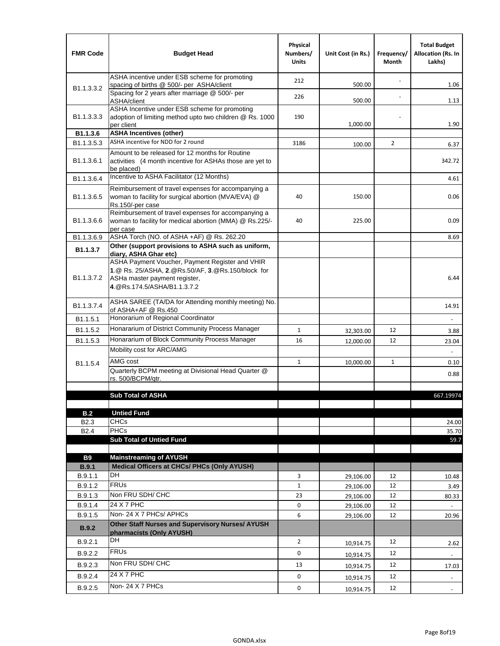| <b>FMR Code</b>            | <b>Budget Head</b>                                                                                                                                                                             | Physical<br>Numbers/<br><b>Units</b> | Unit Cost (in Rs.) | Frequency/<br>Month | <b>Total Budget</b><br><b>Allocation (Rs. In</b><br>Lakhs) |
|----------------------------|------------------------------------------------------------------------------------------------------------------------------------------------------------------------------------------------|--------------------------------------|--------------------|---------------------|------------------------------------------------------------|
|                            | ASHA incentive under ESB scheme for promoting<br>spacing of births @ 500/- per ASHA/client                                                                                                     | 212                                  | 500.00             |                     | 1.06                                                       |
| B <sub>1.1</sub> , 3, 3, 2 | Spacing for 2 years after marriage @ 500/- per<br>ASHA/client                                                                                                                                  | 226                                  | 500.00             |                     | 1.13                                                       |
| B1.1.3.3.3                 | ASHA Incentive under ESB scheme for promoting<br>adoption of limiting method upto two children @ Rs. 1000<br>per client                                                                        | 190                                  | 1,000.00           |                     | 1.90                                                       |
| B1.1.3.6                   | <b>ASHA Incentives (other)</b>                                                                                                                                                                 |                                      |                    |                     |                                                            |
| B <sub>1.1</sub> , 3, 5, 3 | ASHA incentive for NDD for 2 round                                                                                                                                                             | 3186                                 | 100.00             | $\overline{2}$      | 6.37                                                       |
| B <sub>1.1</sub> .3.6.1    | Amount to be released for 12 months for Routine<br>activities (4 month incentive for ASHAs those are yet to<br>be placed)                                                                      |                                      |                    |                     | 342.72                                                     |
| B1.1.3.6.4                 | Incentive to ASHA Facilitator (12 Months)                                                                                                                                                      |                                      |                    |                     | 4.61                                                       |
| B <sub>1.1</sub> .3.6.5    | Reimbursement of travel expenses for accompanying a<br>woman to facility for surgical abortion (MVA/EVA) @<br>Rs.150/-per case                                                                 | 40                                   | 150.00             |                     | 0.06                                                       |
| B <sub>1.1</sub> .3.6.6    | Reimbursement of travel expenses for accompanying a<br>woman to facility for medical abortion (MMA) @ Rs.225/-<br>per case                                                                     | 40                                   | 225.00             |                     | 0.09                                                       |
| B1.1.3.6.9                 | ASHA Torch (NO. of ASHA +AF) @ Rs. 262.20                                                                                                                                                      |                                      |                    |                     | 8.69                                                       |
| B1.1.3.7                   | Other (support provisions to ASHA such as uniform,                                                                                                                                             |                                      |                    |                     |                                                            |
| B <sub>1.1</sub> .3.7.2    | diary, ASHA Ghar etc)<br>ASHA Payment Voucher, Payment Register and VHIR<br>1.@ Rs. 25/ASHA, 2.@Rs.50/AF, 3.@Rs.150/block for<br>ASHa master payment register,<br>4. @Rs.174.5/ASHA/B1.1.3.7.2 |                                      |                    |                     | 6.44                                                       |
| B <sub>1.1</sub> , 3, 7, 4 | ASHA SAREE (TA/DA for Attending monthly meeting) No.<br>of ASHA+AF @ Rs.450                                                                                                                    |                                      |                    |                     | 14.91                                                      |
| B <sub>1.1</sub> .5.1      | Honorarium of Regional Coordinator                                                                                                                                                             |                                      |                    |                     |                                                            |
| B <sub>1.1.5.2</sub>       | Honararium of District Community Process Manager                                                                                                                                               | $\mathbf{1}$                         | 32,303.00          | 12                  | 3.88                                                       |
| B1.1.5.3                   | Honararium of Block Community Process Manager                                                                                                                                                  | 16                                   | 12,000.00          | 12                  | 23.04                                                      |
|                            | Mobility cost for ARC/AMG                                                                                                                                                                      |                                      |                    |                     |                                                            |
| B <sub>1.1.5.4</sub>       | AMG cost                                                                                                                                                                                       | $\mathbf{1}$                         | 10,000.00          | $\mathbf{1}$        | 0.10                                                       |
|                            | Quarterly BCPM meeting at Divisional Head Quarter @                                                                                                                                            |                                      |                    |                     | 0.88                                                       |
|                            | rs. 500/BCPM/qtr.                                                                                                                                                                              |                                      |                    |                     |                                                            |
|                            | <b>Sub Total of ASHA</b>                                                                                                                                                                       |                                      |                    |                     | 667.19974                                                  |
|                            |                                                                                                                                                                                                |                                      |                    |                     |                                                            |
| B.2                        | <b>Untied Fund</b>                                                                                                                                                                             |                                      |                    |                     |                                                            |
| B <sub>2.3</sub>           | <b>CHCs</b>                                                                                                                                                                                    |                                      |                    |                     | 24.00                                                      |
| B <sub>2.4</sub>           | <b>PHCs</b>                                                                                                                                                                                    |                                      |                    |                     | 35.70                                                      |
|                            | <b>Sub Total of Untied Fund</b>                                                                                                                                                                |                                      |                    |                     | 59.7                                                       |
| <b>B9</b>                  | <b>Mainstreaming of AYUSH</b>                                                                                                                                                                  |                                      |                    |                     |                                                            |
| B.9.1                      | Medical Officers at CHCs/ PHCs (Only AYUSH)                                                                                                                                                    |                                      |                    |                     |                                                            |
| B.9.1.1                    | DH                                                                                                                                                                                             | 3                                    | 29,106.00          | 12                  | 10.48                                                      |
| B.9.1.2                    | <b>FRUs</b>                                                                                                                                                                                    | $\mathbf{1}$                         | 29,106.00          | 12                  | 3.49                                                       |
| B.9.1.3                    | Non FRU SDH/ CHC                                                                                                                                                                               | 23                                   | 29,106.00          | 12                  | 80.33                                                      |
| B.9.1.4                    | 24 X 7 PHC                                                                                                                                                                                     | 0                                    | 29,106.00          | 12                  |                                                            |
| B.9.1.5                    | Non-24 X 7 PHCs/ APHCs                                                                                                                                                                         | 6                                    | 29,106.00          | 12                  | 20.96                                                      |
| <b>B.9.2</b>               | Other Staff Nurses and Supervisory Nurses/ AYUSH<br>pharmacists (Only AYUSH)                                                                                                                   |                                      |                    |                     |                                                            |
| B.9.2.1                    | DH                                                                                                                                                                                             | $\overline{2}$                       | 10,914.75          | 12                  | 2.62                                                       |
| B.9.2.2                    | <b>FRUs</b>                                                                                                                                                                                    | 0                                    | 10,914.75          | 12                  |                                                            |
| B.9.2.3                    | Non FRU SDH/ CHC                                                                                                                                                                               | 13                                   | 10,914.75          | 12                  | 17.03                                                      |
| B.9.2.4                    | 24 X 7 PHC                                                                                                                                                                                     | 0                                    |                    | 12                  |                                                            |
|                            | Non-24 X 7 PHCs                                                                                                                                                                                | 0                                    | 10,914.75          |                     | $\qquad \qquad \blacksquare$                               |
| B.9.2.5                    |                                                                                                                                                                                                |                                      | 10,914.75          | 12                  |                                                            |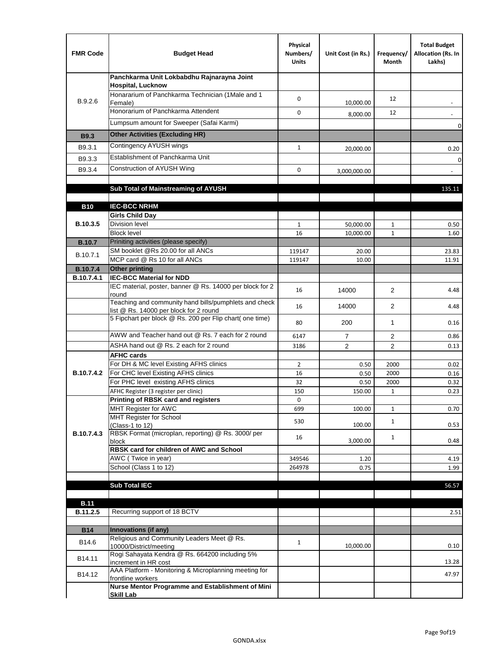| <b>FMR Code</b>               | <b>Budget Head</b>                                                                              | Physical<br>Numbers/<br><b>Units</b> | Unit Cost (in Rs.) | Frequency/<br>Month | <b>Total Budget</b><br>Allocation (Rs. In<br>Lakhs) |
|-------------------------------|-------------------------------------------------------------------------------------------------|--------------------------------------|--------------------|---------------------|-----------------------------------------------------|
|                               | Panchkarma Unit Lokbabdhu Rajnarayna Joint<br><b>Hospital, Lucknow</b>                          |                                      |                    |                     |                                                     |
| B.9.2.6                       | Honararium of Panchkarma Technician (1Male and 1<br>Female)                                     | 0                                    | 10,000.00          | 12                  |                                                     |
|                               | Honorarium of Panchkarma Attendent                                                              | 0                                    | 8,000.00           | 12                  |                                                     |
|                               | Lumpsum amount for Sweeper (Safai Karmi)                                                        |                                      |                    |                     | 0                                                   |
| <b>B9.3</b>                   | <b>Other Activities (Excluding HR)</b>                                                          |                                      |                    |                     |                                                     |
| B9.3.1                        | Contingency AYUSH wings                                                                         | $\mathbf{1}$                         | 20,000.00          |                     | 0.20                                                |
| B9.3.3                        | Establishment of Panchkarma Unit                                                                |                                      |                    |                     | $\mathbf 0$                                         |
| B9.3.4                        | Construction of AYUSH Wing                                                                      | 0                                    | 3,000,000.00       |                     |                                                     |
|                               |                                                                                                 |                                      |                    |                     |                                                     |
|                               | Sub Total of Mainstreaming of AYUSH                                                             |                                      |                    |                     | 135.11                                              |
|                               |                                                                                                 |                                      |                    |                     |                                                     |
| <b>B10</b>                    | <b>IEC-BCC NRHM</b><br><b>Girls Child Day</b>                                                   |                                      |                    |                     |                                                     |
| B.10.3.5                      | <b>Division level</b>                                                                           | $\mathbf{1}$                         | 50,000.00          | 1                   | 0.50                                                |
|                               | <b>Block level</b>                                                                              | 16                                   | 10,000.00          | $\mathbf{1}$        | 1.60                                                |
| <b>B.10.7</b>                 | Priniting activities (please specify)                                                           |                                      |                    |                     |                                                     |
| B.10.7.1                      | SM booklet @Rs 20.00 for all ANCs                                                               | 119147                               | 20.00              |                     | 23.83                                               |
|                               | MCP card @ Rs 10 for all ANCs                                                                   | 119147                               | 10.00              |                     | 11.91                                               |
| <b>B.10.7.4</b><br>B.10.7.4.1 | <b>Other printing</b><br><b>IEC-BCC Material for NDD</b>                                        |                                      |                    |                     |                                                     |
|                               | IEC material, poster, banner @ Rs. 14000 per block for 2<br>round                               | 16                                   | 14000              | $\overline{2}$      | 4.48                                                |
|                               | Teaching and community hand bills/pumphlets and check<br>list @ Rs. 14000 per block for 2 round | 16                                   | 14000              | 2                   | 4.48                                                |
|                               | 5 Fipchart per block @ Rs. 200 per Flip chart( one time)                                        | 80                                   | 200                | 1                   | 0.16                                                |
|                               | AWW and Teacher hand out @ Rs. 7 each for 2 round                                               | 6147                                 | $\overline{7}$     | 2                   | 0.86                                                |
|                               | ASHA hand out @ Rs. 2 each for 2 round                                                          | 3186                                 | $\overline{2}$     | 2                   | 0.13                                                |
|                               | <b>AFHC cards</b>                                                                               |                                      |                    |                     |                                                     |
| B.10.7.4.2                    | For DH & MC level Existing AFHS clinics<br>For CHC level Existing AFHS clinics                  | $\overline{2}$<br>16                 | 0.50<br>0.50       | 2000<br>2000        | 0.02<br>0.16                                        |
|                               | For PHC level existing AFHS clinics                                                             | 32                                   | 0.50               | 2000                | 0.32                                                |
|                               | AFHC Register (3 register per clinic)                                                           | 150                                  | 150.00             | $\mathbf{1}$        | 0.23                                                |
|                               | Printing of RBSK card and registers                                                             | 0                                    |                    |                     |                                                     |
|                               | MHT Register for AWC                                                                            | 699                                  | 100.00             | $\mathbf{1}$        | 0.70                                                |
|                               | MHT Register for School<br>(Class-1 to 12)                                                      | 530                                  | 100.00             | $\mathbf{1}$        | 0.53                                                |
| B.10.7.4.3                    | RBSK Format (microplan, reporting) @ Rs. 3000/ per<br>block                                     | 16                                   | 3,000.00           | $\mathbf{1}$        | 0.48                                                |
|                               | RBSK card for children of AWC and School                                                        |                                      |                    |                     |                                                     |
|                               | AWC (Twice in year)                                                                             | 349546                               | 1.20               |                     | 4.19                                                |
|                               | School (Class 1 to 12)                                                                          | 264978                               | 0.75               |                     | 1.99                                                |
|                               | <b>Sub Total IEC</b>                                                                            |                                      |                    |                     | 56.57                                               |
|                               |                                                                                                 |                                      |                    |                     |                                                     |
| <b>B.11</b>                   |                                                                                                 |                                      |                    |                     |                                                     |
| B.11.2.5                      | Recurring support of 18 BCTV                                                                    |                                      |                    |                     | 2.51                                                |
|                               |                                                                                                 |                                      |                    |                     |                                                     |
| <b>B14</b>                    | Innovations (if any)<br>Religious and Community Leaders Meet @ Rs.                              |                                      |                    |                     |                                                     |
| B14.6                         | 10000/District/meeting<br>Rogi Sahayata Kendra @ Rs. 664200 including 5%                        | $\mathbf{1}$                         | 10,000.00          |                     | 0.10                                                |
| B14.11                        | increment in HR cost                                                                            |                                      |                    |                     | 13.28                                               |
| B14.12                        | AAA Platform - Monitoring & Microplanning meeting for<br>frontline workers                      |                                      |                    |                     | 47.97                                               |
|                               | Nurse Mentor Programme and Establishment of Mini                                                |                                      |                    |                     |                                                     |
|                               | <b>Skill Lab</b>                                                                                |                                      |                    |                     |                                                     |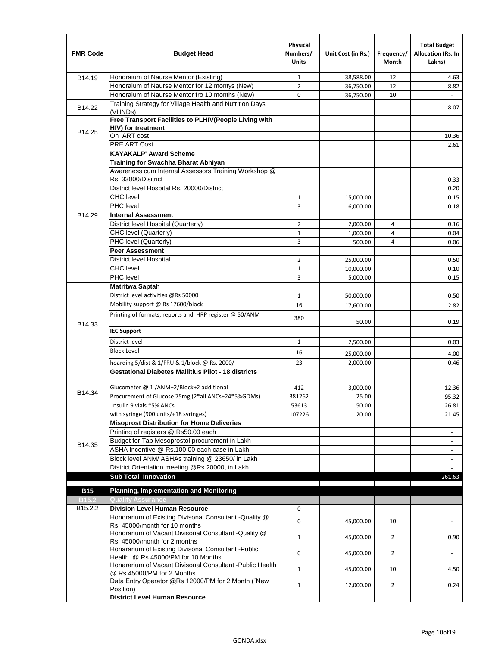| <b>FMR Code</b>              | <b>Budget Head</b>                                                                         | Physical<br>Numbers/<br><b>Units</b> | Unit Cost (in Rs.) | Frequency/<br><b>Month</b> | <b>Total Budget</b><br>Allocation (Rs. In<br>Lakhs) |
|------------------------------|--------------------------------------------------------------------------------------------|--------------------------------------|--------------------|----------------------------|-----------------------------------------------------|
| B14.19                       | Honoraium of Naurse Mentor (Existing)                                                      | 1                                    | 38,588.00          | 12                         | 4.63                                                |
|                              | Honoraium of Naurse Mentor for 12 montys (New)                                             | $\overline{2}$                       | 36,750.00          | 12                         | 8.82                                                |
|                              | Honoraium of Naurse Mentor fro 10 months (New)                                             | 0                                    | 36,750.00          | 10                         | $\omega$                                            |
| B14.22                       | Training Strategy for Village Health and Nutrition Days<br>(VHNDs)                         |                                      |                    |                            | 8.07                                                |
|                              | Free Transport Facilities to PLHIV(People Living with                                      |                                      |                    |                            |                                                     |
| B14.25                       | <b>HIV)</b> for treatment                                                                  |                                      |                    |                            |                                                     |
|                              | On ART cost                                                                                |                                      |                    |                            | 10.36                                               |
|                              | PRE ART Cost                                                                               |                                      |                    |                            | 2.61                                                |
|                              | <b>KAYAKALP' Award Scheme</b>                                                              |                                      |                    |                            |                                                     |
|                              | Training for Swachha Bharat Abhiyan                                                        |                                      |                    |                            |                                                     |
|                              | Awareness cum Internal Assessors Training Workshop @                                       |                                      |                    |                            |                                                     |
|                              | Rs. 33000/Disitrict                                                                        |                                      |                    |                            | 0.33                                                |
|                              | District level Hospital Rs. 20000/District                                                 |                                      |                    |                            | 0.20                                                |
|                              | <b>CHC</b> level                                                                           | $\mathbf{1}$                         | 15,000.00          |                            | 0.15                                                |
|                              | <b>PHC</b> level                                                                           | 3                                    | 6,000.00           |                            | 0.18                                                |
| B14.29                       | <b>Internal Assessment</b>                                                                 |                                      |                    |                            |                                                     |
|                              | District level Hospital (Quarterly)                                                        | 2                                    | 2,000.00           | 4                          | 0.16                                                |
|                              | CHC level (Quarterly)                                                                      | $\mathbf{1}$                         | 1,000.00           | 4                          | 0.04                                                |
|                              | PHC level (Quarterly)                                                                      | 3                                    | 500.00             | 4                          | 0.06                                                |
|                              | <b>Peer Assessment</b>                                                                     |                                      |                    |                            |                                                     |
|                              | <b>District level Hospital</b>                                                             | $\overline{2}$                       | 25.000.00          |                            | 0.50                                                |
|                              | <b>CHC</b> level                                                                           | $\mathbf{1}$                         | 10,000.00          |                            | 0.10                                                |
|                              | PHC level                                                                                  | 3                                    | 5,000.00           |                            | 0.15                                                |
|                              | Matritwa Saptah                                                                            |                                      |                    |                            |                                                     |
|                              | District level activities @Rs 50000                                                        | $\mathbf{1}$                         | 50,000.00          |                            | 0.50                                                |
|                              | Mobility support @ Rs 17600/block                                                          | 16                                   | 17,600.00          |                            | 2.82                                                |
| B14.33                       | Printing of formats, reports and HRP register @ 50/ANM                                     | 380                                  | 50.00              |                            | 0.19                                                |
|                              | <b>IEC Support</b>                                                                         |                                      |                    |                            |                                                     |
|                              | District level                                                                             | $\mathbf{1}$                         | 2,500.00           |                            | 0.03                                                |
|                              | <b>Block Level</b>                                                                         | 16                                   | 25,000.00          |                            | 4.00                                                |
|                              | hoarding 5/dist & 1/FRU & 1/block @ Rs. 2000/-                                             | 23                                   | 2,000.00           |                            | 0.46                                                |
|                              | <b>Gestational Diabetes Mallitius Pilot - 18 districts</b>                                 |                                      |                    |                            |                                                     |
|                              |                                                                                            |                                      |                    |                            |                                                     |
| B14.34                       | Glucometer @ 1 /ANM+2/Block+2 additional                                                   | 412                                  | 3,000.00           |                            | 12.36                                               |
|                              | Procurement of Glucose 75mg, (2*all ANCs+24*5%GDMs)                                        | 381262                               | 25.00              |                            | 95.32                                               |
|                              | Insulin 9 vials *5% ANCs                                                                   | 53613                                | 50.00              |                            | 26.81                                               |
|                              | with syringe (900 units/+18 syringes)                                                      | 107226                               | 20.00              |                            | 21.45                                               |
|                              | <b>Misoprost Distribution for Home Deliveries</b>                                          |                                      |                    |                            |                                                     |
|                              | Printing of registers @ Rs50.00 each                                                       |                                      |                    |                            | $\overline{\phantom{a}}$                            |
| B14.35                       | Budget for Tab Mesoprostol procurement in Lakh                                             |                                      |                    |                            |                                                     |
|                              | ASHA Incentive @ Rs.100.00 each case in Lakh                                               |                                      |                    |                            | $\overline{\phantom{a}}$                            |
|                              | Block level ANM/ ASHAs training @ 23650/ in Lakh                                           |                                      |                    |                            | $\overline{\phantom{a}}$                            |
|                              | District Orientation meeting @Rs 20000, in Lakh<br><b>Sub Total Innovation</b>             |                                      |                    |                            | 261.63                                              |
|                              | <b>Planning, Implementation and Monitoring</b>                                             |                                      |                    |                            |                                                     |
| <b>B15</b>                   |                                                                                            |                                      |                    |                            |                                                     |
| B <sub>15.2</sub><br>B15.2.2 | <b>Quality Assurance</b><br><b>Division Level Human Resource</b>                           | 0                                    |                    |                            |                                                     |
|                              | Honorarium of Existing Divisonal Consultant -Quality @                                     |                                      |                    |                            |                                                     |
|                              | Rs. 45000/month for 10 months                                                              | 0                                    | 45,000.00          | 10                         |                                                     |
|                              | Honorarium of Vacant Divisonal Consultant -Quality @<br>Rs. 45000/month for 2 months       | 1                                    | 45,000.00          | $\overline{2}$             | 0.90                                                |
|                              | Honararium of Existing Divisonal Consultant - Public<br>Health @ Rs.45000/PM for 10 Months | 0                                    | 45,000.00          | $\overline{2}$             |                                                     |
|                              | Honararium of Vacant Divisonal Consultant - Public Health<br>@ Rs.45000/PM for 2 Months    | $\mathbf{1}$                         | 45,000.00          | 10                         | 4.50                                                |
|                              | Data Entry Operator @Rs 12000/PM for 2 Month ("New<br>Position)                            | $\mathbf{1}$                         | 12,000.00          | $\overline{2}$             | 0.24                                                |
|                              | <b>District Level Human Resource</b>                                                       |                                      |                    |                            |                                                     |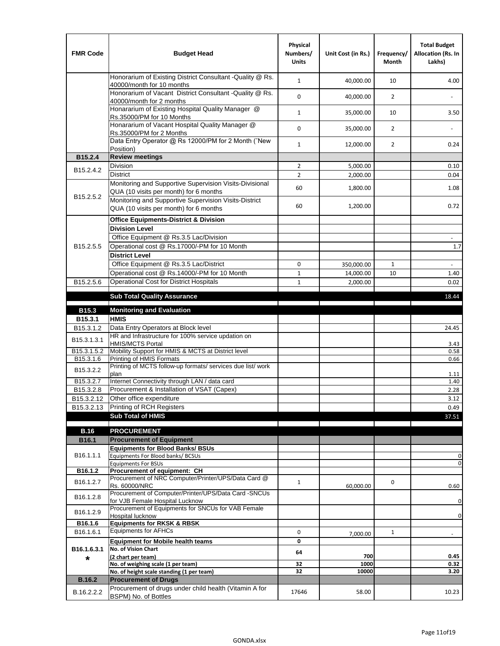| <b>FMR Code</b>         | <b>Budget Head</b>                                                                                | Physical<br>Numbers/<br><b>Units</b> | Unit Cost (in Rs.) | Frequency/<br><b>Month</b> | <b>Total Budget</b><br>Allocation (Rs. In<br>Lakhs) |
|-------------------------|---------------------------------------------------------------------------------------------------|--------------------------------------|--------------------|----------------------------|-----------------------------------------------------|
|                         | Honorarium of Existing District Consultant -Quality @ Rs.<br>40000/month for 10 months            | $\mathbf{1}$                         | 40,000.00          | 10                         | 4.00                                                |
|                         | Honorarium of Vacant District Consultant -Quality @ Rs.<br>40000/month for 2 months               | $\mathbf 0$                          | 40,000.00          | $\overline{2}$             |                                                     |
|                         | Honararium of Existing Hospital Quality Manager @<br>Rs.35000/PM for 10 Months                    | $\mathbf{1}$                         | 35,000.00          | 10                         | 3.50                                                |
|                         | Honararium of Vacant Hospital Quality Manager @<br>Rs.35000/PM for 2 Months                       | $\mathbf 0$                          | 35,000.00          | $\overline{2}$             |                                                     |
|                         | Data Entry Operator @ Rs 12000/PM for 2 Month ("New<br>Position)                                  | $\mathbf{1}$                         | 12,000.00          | $\overline{2}$             | 0.24                                                |
| B15.2.4                 | <b>Review meetings</b>                                                                            |                                      |                    |                            |                                                     |
| B <sub>15.2</sub> .4.2  | Division                                                                                          | $\overline{2}$                       | 5,000.00           |                            | 0.10                                                |
|                         | <b>District</b>                                                                                   | $\overline{2}$                       | 2,000.00           |                            | 0.04                                                |
| B15.2.5.2               | Monitoring and Supportive Supervision Visits-Divisional<br>QUA (10 visits per month) for 6 months | 60                                   | 1,800.00           |                            | 1.08                                                |
|                         | Monitoring and Supportive Supervision Visits-District<br>QUA (10 visits per month) for 6 months   | 60                                   | 1,200.00           |                            | 0.72                                                |
|                         | <b>Office Equipments-District &amp; Division</b>                                                  |                                      |                    |                            |                                                     |
|                         | <b>Division Level</b>                                                                             |                                      |                    |                            |                                                     |
|                         | Office Equipment @ Rs.3.5 Lac/Division                                                            |                                      |                    |                            | $\overline{\phantom{a}}$                            |
| B15.2.5.5               | Operational cost @ Rs.17000/-PM for 10 Month                                                      |                                      |                    |                            | 1.7                                                 |
|                         | <b>District Level</b>                                                                             |                                      |                    |                            |                                                     |
|                         | Office Equipment @ Rs.3.5 Lac/District                                                            | 0                                    | 350,000.00         | $\mathbf{1}$               | $\sim$                                              |
|                         | Operational cost @ Rs.14000/-PM for 10 Month                                                      | $1\,$                                | 14,000.00          | 10                         | 1.40                                                |
| B15.2.5.6               | <b>Operational Cost for District Hospitals</b>                                                    | $\mathbf{1}$                         | 2,000.00           |                            | 0.02                                                |
|                         | <b>Sub Total Quality Assurance</b>                                                                |                                      |                    |                            | 18.44                                               |
| B15.3                   | <b>Monitoring and Evaluation</b>                                                                  |                                      |                    |                            |                                                     |
| B15.3.1                 | <b>HMIS</b>                                                                                       |                                      |                    |                            |                                                     |
| B15.3.1.2               | Data Entry Operators at Block level                                                               |                                      |                    |                            | 24.45                                               |
| B15.3.1.3.1             | HR and Infrastructure for 100% service updation on<br><b>HMIS/MCTS Portal</b>                     |                                      |                    |                            | 3.43                                                |
| B <sub>15.3.1.5.2</sub> | Mobility Support for HMIS & MCTS at District level                                                |                                      |                    |                            | 0.58                                                |
| B15.3.1.6               | Printing of HMIS Formats<br>Printing of MCTS follow-up formats/ services due list/ work           |                                      |                    |                            | 0.66                                                |
| B15.3.2.2               | plan                                                                                              |                                      |                    |                            | 1.11                                                |
| B15.3.2.7               | Internet Connectivity through LAN / data card                                                     |                                      |                    |                            | 1.40                                                |
| B15.3.2.8               | Procurement & Installation of VSAT (Capex)                                                        |                                      |                    |                            | 2.28                                                |
| B15.3.2.12              | Other office expenditure                                                                          |                                      |                    |                            | 3.12                                                |
| B15.3.2.13              | Printing of RCH Registers                                                                         |                                      |                    |                            | 0.49                                                |
|                         | <b>Sub Total of HMIS</b>                                                                          |                                      |                    |                            | 37.51                                               |
| <b>B.16</b>             | <b>PROCUREMENT</b>                                                                                |                                      |                    |                            |                                                     |
| B16.1                   | <b>Procurement of Equipment</b>                                                                   |                                      |                    |                            |                                                     |
|                         | <b>Equipments for Blood Banks/ BSUs</b>                                                           |                                      |                    |                            |                                                     |
| B16.1.1.1               | Equipments For Blood banks/ BCSUs                                                                 |                                      |                    |                            | 0                                                   |
| B16.1.2                 | <b>Equipments For BSUs</b><br>Procurement of equipment: CH                                        |                                      |                    |                            | 0                                                   |
|                         | Procurement of NRC Computer/Printer/UPS/Data Card @                                               |                                      |                    |                            |                                                     |
| B16.1.2.7               | Rs. 60000/NRC                                                                                     | $\mathbf{1}$                         | 60,000.00          | 0                          | 0.60                                                |
| B16.1.2.8               | Procurement of Computer/Printer/UPS/Data Card -SNCUs                                              |                                      |                    |                            |                                                     |
|                         | for VJB Female Hospital Lucknow<br>Procurement of Equipments for SNCUs for VAB Female             |                                      |                    |                            | 0                                                   |
| B16.1.2.9               | Hospital lucknow                                                                                  |                                      |                    |                            | $\mathbf 0$                                         |
| B16.1.6                 | <b>Equipments for RKSK &amp; RBSK</b>                                                             |                                      |                    |                            |                                                     |
| B16.1.6.1               | <b>Equipments for AFHCs</b>                                                                       | 0                                    | 7,000.00           | $\mathbf{1}$               | ÷,                                                  |
|                         | <b>Equipment for Mobile health teams</b>                                                          | 0                                    |                    |                            |                                                     |
| B16.1.6.3.1             | No. of Vision Chart<br>(2 chart per team)                                                         | 64                                   | 700                |                            | 0.45                                                |
| *                       | No. of weighing scale (1 per team)                                                                | 32                                   | 1000               |                            | 0.32                                                |
|                         | No. of height scale standing (1 per team)                                                         | 32                                   | 10000              |                            | 3.20                                                |
| <b>B.16.2</b>           | <b>Procurement of Drugs</b>                                                                       |                                      |                    |                            |                                                     |
| B.16.2.2.2              | Procurement of drugs under child health (Vitamin A for<br>BSPM) No. of Bottles                    | 17646                                | 58.00              |                            | 10.23                                               |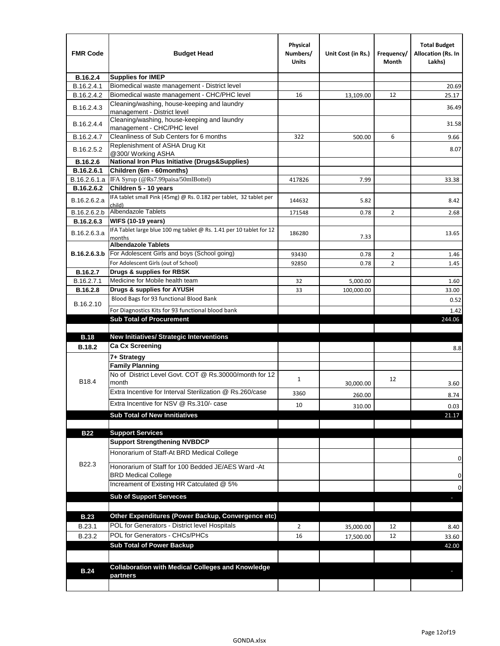| <b>FMR Code</b> | <b>Budget Head</b>                                                               | Physical<br>Numbers/<br><b>Units</b> | Unit Cost (in Rs.) | Frequency/<br>Month | <b>Total Budget</b><br><b>Allocation (Rs. In</b><br>Lakhs) |
|-----------------|----------------------------------------------------------------------------------|--------------------------------------|--------------------|---------------------|------------------------------------------------------------|
| B.16.2.4        | <b>Supplies for IMEP</b>                                                         |                                      |                    |                     |                                                            |
| B.16.2.4.1      | Biomedical waste management - District level                                     |                                      |                    |                     | 20.69                                                      |
| B.16.2.4.2      | Biomedical waste management - CHC/PHC level                                      | 16                                   | 13,109.00          | 12                  | 25.17                                                      |
| B.16.2.4.3      | Cleaning/washing, house-keeping and laundry<br>management - District level       |                                      |                    |                     | 36.49                                                      |
| B.16.2.4.4      | Cleaning/washing, house-keeping and laundry<br>management - CHC/PHC level        |                                      |                    |                     | 31.58                                                      |
| B.16.2.4.7      | Cleanliness of Sub Centers for 6 months                                          | 322                                  | 500.00             | 6                   | 9.66                                                       |
| B.16.2.5.2      | Replenishment of ASHA Drug Kit<br>@300/ Working ASHA                             |                                      |                    |                     | 8.07                                                       |
| B.16.2.6        | <b>National Iron Plus Initiative (Drugs&amp;Supplies)</b>                        |                                      |                    |                     |                                                            |
| B.16.2.6.1      | Children (6m - 60months)                                                         |                                      |                    |                     |                                                            |
| B.16.2.6.1.a    | IFA Syrup (@Rs7.99paisa/50mlBottel)                                              | 417826                               | 7.99               |                     | 33.38                                                      |
| B.16.2.6.2      | Children 5 - 10 years                                                            |                                      |                    |                     |                                                            |
| B.16.2.6.2.a    | IFA tablet small Pink (45mg) @ Rs. 0.182 per tablet, 32 tablet per<br>child)     | 144632                               | 5.82               |                     | 8.42                                                       |
| B.16.2.6.2.b    | <b>Albendazole Tablets</b>                                                       | 171548                               | 0.78               | 2                   | 2.68                                                       |
| B.16.2.6.3      | <b>WIFS (10-19 years)</b>                                                        |                                      |                    |                     |                                                            |
| B.16.2.6.3.a    | IFA Tablet large blue 100 mg tablet @ Rs. 1.41 per 10 tablet for 12              | 186280                               |                    |                     | 13.65                                                      |
|                 | months<br><b>Albendazole Tablets</b>                                             |                                      | 7.33               |                     |                                                            |
| B.16.2.6.3.b    | For Adolescent Girls and boys (School going)                                     | 93430                                |                    | $\overline{2}$      |                                                            |
|                 | For Adolescent Girls (out of School)                                             | 92850                                | 0.78<br>0.78       | $\overline{2}$      | 1.46<br>1.45                                               |
| B.16.2.7        | Drugs & supplies for RBSK                                                        |                                      |                    |                     |                                                            |
| B.16.2.7.1      | Medicine for Mobile health team                                                  | 32                                   | 5,000.00           |                     | 1.60                                                       |
| <b>B.16.2.8</b> | Drugs & supplies for AYUSH                                                       | 33                                   | 100,000.00         |                     | 33.00                                                      |
|                 | Blood Bags for 93 functional Blood Bank                                          |                                      |                    |                     | 0.52                                                       |
| B.16.2.10       | For Diagnostics Kits for 93 functional blood bank                                |                                      |                    |                     | 1.42                                                       |
|                 | <b>Sub Total of Procurement</b>                                                  |                                      |                    |                     | 244.06                                                     |
| <b>B.18</b>     | <b>New Initiatives/ Strategic Interventions</b>                                  |                                      |                    |                     |                                                            |
| <b>B.18.2</b>   | <b>Ca Cx Screening</b>                                                           |                                      |                    |                     | 8.8                                                        |
|                 | 7+ Strategy                                                                      |                                      |                    |                     |                                                            |
|                 | <b>Family Planning</b>                                                           |                                      |                    |                     |                                                            |
| B18.4           | No of District Level Govt. COT @ Rs.30000/month for 12<br>month                  | $\mathbf{1}$                         | 30,000.00          | 12                  | 3.60                                                       |
|                 | Extra Incentive for Interval Sterilization @ Rs.260/case                         | 3360                                 | 260.00             |                     | 8.74                                                       |
|                 | Extra Incentive for NSV @ Rs.310/- case                                          | 10                                   |                    |                     |                                                            |
|                 |                                                                                  |                                      | 310.00             |                     | 0.03                                                       |
|                 | <b>Sub Total of New Innitiatives</b>                                             |                                      |                    |                     | 21.17                                                      |
| <b>B22</b>      | <b>Support Services</b>                                                          |                                      |                    |                     |                                                            |
|                 | <b>Support Strengthening NVBDCP</b>                                              |                                      |                    |                     |                                                            |
|                 | Honorarium of Staff-At BRD Medical College                                       |                                      |                    |                     | 0                                                          |
| B22.3           | Honorarium of Staff for 100 Bedded JE/AES Ward -At<br><b>BRD Medical College</b> |                                      |                    |                     | 0                                                          |
|                 | Increament of Existing HR Catculated @ 5%                                        |                                      |                    |                     | 0                                                          |
|                 | <b>Sub of Support Serveces</b>                                                   |                                      |                    |                     |                                                            |
|                 |                                                                                  |                                      |                    |                     |                                                            |
| <b>B.23</b>     | Other Expenditures (Power Backup, Convergence etc)                               |                                      |                    |                     |                                                            |
| B.23.1          | POL for Generators - District level Hospitals                                    | $\overline{2}$                       | 35,000.00          | 12                  | 8.40                                                       |
| B.23.2          | POL for Generators - CHCs/PHCs                                                   | 16                                   | 17,500.00          | 12                  | 33.60                                                      |
|                 | <b>Sub Total of Power Backup</b>                                                 |                                      |                    |                     | 42.00                                                      |
|                 |                                                                                  |                                      |                    |                     |                                                            |
| <b>B.24</b>     | <b>Collaboration with Medical Colleges and Knowledge</b>                         |                                      |                    |                     |                                                            |
|                 | partners                                                                         |                                      |                    |                     |                                                            |
|                 |                                                                                  |                                      |                    |                     |                                                            |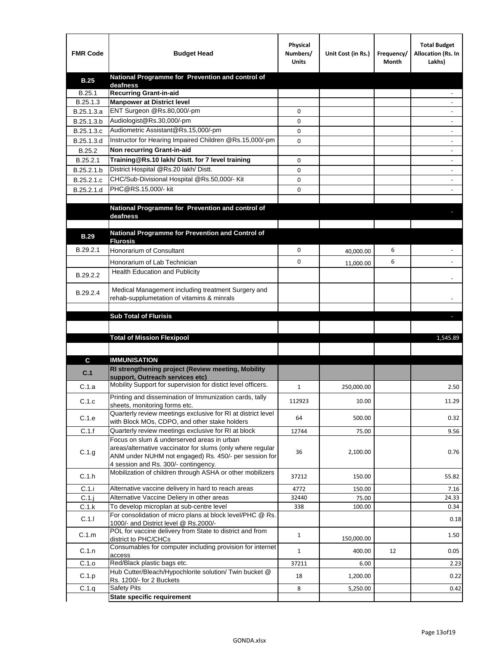| <b>FMR Code</b> | <b>Budget Head</b>                                                                                   | Physical<br>Numbers/<br><b>Units</b> | Unit Cost (in Rs.) | Frequency/<br>Month | <b>Total Budget</b><br>Allocation (Rs. In<br>Lakhs) |
|-----------------|------------------------------------------------------------------------------------------------------|--------------------------------------|--------------------|---------------------|-----------------------------------------------------|
| <b>B.25</b>     | National Programme for Prevention and control of                                                     |                                      |                    |                     |                                                     |
| B.25.1          | deafness<br><b>Recurring Grant-in-aid</b>                                                            |                                      |                    |                     |                                                     |
| B.25.1.3        | <b>Manpower at District level</b>                                                                    |                                      |                    |                     |                                                     |
| B.25.1.3.a      | ENT Surgeon @Rs.80,000/-pm                                                                           | 0                                    |                    |                     |                                                     |
| B.25.1.3.b      | Audiologist@Rs.30,000/-pm                                                                            | 0                                    |                    |                     |                                                     |
| B.25.1.3.c      | Audiometric Assistant@Rs.15,000/-pm                                                                  | 0                                    |                    |                     |                                                     |
| B.25.1.3.d      | Instructor for Hearing Impaired Children @Rs.15,000/-pm                                              | 0                                    |                    |                     |                                                     |
| B.25.2          | Non recurring Grant-in-aid                                                                           |                                      |                    |                     |                                                     |
| B.25.2.1        | Training@Rs.10 lakh/ Distt. for 7 level training                                                     | 0                                    |                    |                     |                                                     |
| B.25.2.1.b      | District Hospital @Rs.20 lakh/Distt.                                                                 | 0                                    |                    |                     |                                                     |
| B.25.2.1.c      | CHC/Sub-Divisional Hospital @Rs.50,000/- Kit                                                         | 0                                    |                    |                     |                                                     |
| B.25.2.1.d      | PHC@RS.15,000/- kit                                                                                  | 0                                    |                    |                     |                                                     |
|                 |                                                                                                      |                                      |                    |                     |                                                     |
|                 | National Programme for Prevention and control of                                                     |                                      |                    |                     |                                                     |
|                 | deafness                                                                                             |                                      |                    |                     |                                                     |
|                 | National Programme for Prevention and Control of                                                     |                                      |                    |                     |                                                     |
| <b>B.29</b>     | <b>Flurosis</b>                                                                                      |                                      |                    |                     |                                                     |
| B.29.2.1        | Honorarium of Consultant                                                                             | 0                                    | 40,000.00          | 6                   |                                                     |
|                 | Honorarium of Lab Technician                                                                         | 0                                    | 11,000.00          | 6                   |                                                     |
| B.29.2.2        | Health Education and Publicity                                                                       |                                      |                    |                     |                                                     |
|                 |                                                                                                      |                                      |                    |                     |                                                     |
| B.29.2.4        | Medical Management including treatment Surgery and                                                   |                                      |                    |                     |                                                     |
|                 | rehab-supplumetation of vitamins & minrals                                                           |                                      |                    |                     |                                                     |
|                 | <b>Sub Total of Flurisis</b>                                                                         |                                      |                    |                     | ы                                                   |
|                 |                                                                                                      |                                      |                    |                     |                                                     |
|                 | <b>Total of Mission Flexipool</b>                                                                    |                                      |                    |                     | 1,545.89                                            |
|                 |                                                                                                      |                                      |                    |                     |                                                     |
| C               | <b>IMMUNISATION</b>                                                                                  |                                      |                    |                     |                                                     |
|                 | RI strengthening project (Review meeting, Mobility                                                   |                                      |                    |                     |                                                     |
| C.1             | support. Outreach services etc)                                                                      |                                      |                    |                     |                                                     |
| C.1.a           | Mobility Support for supervision for distict level officers.                                         | 1                                    | 250,000.00         |                     | 2.50                                                |
|                 | Printing and dissemination of Immunization cards, tally                                              |                                      |                    |                     |                                                     |
| C.1.c           | sheets, monitoring forms etc.                                                                        | 112923                               | 10.00              |                     | 11.29                                               |
| C.1.e           | Quarterly review meetings exclusive for RI at district level                                         | 64                                   | 500.00             |                     | 0.32                                                |
| C.1.f           | with Block MOs, CDPO, and other stake holders<br>Quarterly review meetings exclusive for RI at block | 12744                                | 75.00              |                     |                                                     |
|                 | Focus on slum & underserved areas in urban                                                           |                                      |                    |                     | 9.56                                                |
|                 | areas/alternative vaccinator for slums (only where regular                                           |                                      |                    |                     |                                                     |
| C.1.g           | ANM under NUHM not engaged) Rs. 450/- per session for                                                | 36                                   | 2,100.00           |                     | 0.76                                                |
|                 | 4 session and Rs. 300/- contingency.                                                                 |                                      |                    |                     |                                                     |
| C.1.h           | Mobilization of children through ASHA or other mobilizers                                            | 37212                                | 150.00             |                     | 55.82                                               |
| C.1.i           | Alternative vaccine delivery in hard to reach areas                                                  | 4772                                 | 150.00             |                     | 7.16                                                |
| $C.1$ .j        | Alternative Vaccine Deliery in other areas                                                           | 32440                                | 75.00              |                     | 24.33                                               |
| C.1.k           | To develop microplan at sub-centre level                                                             | 338                                  | 100.00             |                     | 0.34                                                |
| C.1.1           | For consolidation of micro plans at block level/PHC @ Rs.                                            |                                      |                    |                     | 0.18                                                |
|                 | 1000/- and District level @ Rs.2000/-<br>POL for vaccine delivery from State to district and from    |                                      |                    |                     |                                                     |
| C.1.m           | district to PHC/CHCs                                                                                 | $\mathbf{1}$                         | 150,000.00         |                     | 1.50                                                |
| C.1.n           | Consumables for computer including provision for internet                                            | $\mathbf{1}$                         | 400.00             | 12                  | 0.05                                                |
|                 | access                                                                                               |                                      |                    |                     |                                                     |
| C.1.o           | Red/Black plastic bags etc.<br>Hub Cutter/Bleach/Hypochlorite solution/ Twin bucket @                | 37211                                | 6.00               |                     | 2.23                                                |
| C.1.p           | Rs. 1200/- for 2 Buckets                                                                             | 18                                   | 1,200.00           |                     | 0.22                                                |
| C.1.q           | <b>Safety Pits</b>                                                                                   | 8                                    | 5,250.00           |                     | 0.42                                                |
|                 | <b>State specific requirement</b>                                                                    |                                      |                    |                     |                                                     |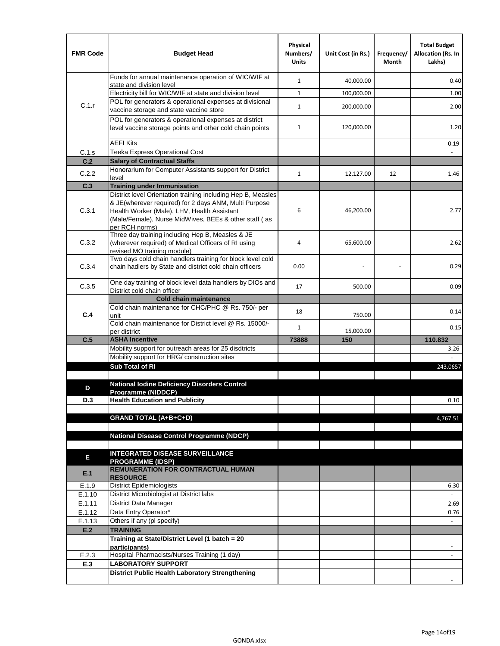| <b>FMR Code</b> | <b>Budget Head</b>                                                                                                                                                              | Physical<br>Numbers/<br><b>Units</b> | Unit Cost (in Rs.) | Frequency/<br>Month | <b>Total Budget</b><br><b>Allocation (Rs. In</b><br>Lakhs) |
|-----------------|---------------------------------------------------------------------------------------------------------------------------------------------------------------------------------|--------------------------------------|--------------------|---------------------|------------------------------------------------------------|
|                 | Funds for annual maintenance operation of WIC/WIF at<br>state and division level                                                                                                | $\mathbf{1}$                         | 40,000.00          |                     | 0.40                                                       |
|                 | Electricity bill for WIC/WIF at state and division level                                                                                                                        | $\mathbf{1}$                         | 100,000.00         |                     | 1.00                                                       |
| C.1.r           | POL for generators & operational expenses at divisional                                                                                                                         |                                      |                    |                     |                                                            |
|                 | vaccine storage and state vaccine store                                                                                                                                         | $\mathbf{1}$                         | 200,000.00         |                     | 2.00                                                       |
|                 | POL for generators & operational expenses at district<br>level vaccine storage points and other cold chain points                                                               | $\mathbf{1}$                         | 120,000.00         |                     | 1.20                                                       |
|                 | <b>AEFI Kits</b>                                                                                                                                                                |                                      |                    |                     | 0.19                                                       |
| C.1.s           | Teeka Express Operational Cost                                                                                                                                                  |                                      |                    |                     |                                                            |
| C.2             | <b>Salary of Contractual Staffs</b>                                                                                                                                             |                                      |                    |                     |                                                            |
| C.2.2           | Honorarium for Computer Assistants support for District<br>level                                                                                                                | $\mathbf{1}$                         | 12,127.00          | 12                  | 1.46                                                       |
| C.3             | <b>Training under Immunisation</b>                                                                                                                                              |                                      |                    |                     |                                                            |
|                 | District level Orientation training including Hep B, Measles                                                                                                                    |                                      |                    |                     |                                                            |
| C.3.1           | & JE(wherever required) for 2 days ANM, Multi Purpose<br>Health Worker (Male), LHV, Health Assistant<br>(Male/Female), Nurse MidWives, BEEs & other staff (as<br>per RCH norms) | 6                                    | 46,200.00          |                     | 2.77                                                       |
| C.3.2           | Three day training including Hep B, Measles & JE<br>(wherever required) of Medical Officers of RI using<br>revised MO training module)                                          | 4                                    | 65,600.00          |                     | 2.62                                                       |
| C.3.4           | Two days cold chain handlers training for block level cold<br>chain hadlers by State and district cold chain officers                                                           | 0.00                                 |                    |                     | 0.29                                                       |
| C.3.5           | One day training of block level data handlers by DIOs and<br>District cold chain officer                                                                                        | 17                                   | 500.00             |                     | 0.09                                                       |
|                 | <b>Cold chain maintenance</b>                                                                                                                                                   |                                      |                    |                     |                                                            |
| C.4             | Cold chain maintenance for CHC/PHC @ Rs. 750/- per<br>unit                                                                                                                      | 18                                   | 750.00             |                     | 0.14                                                       |
|                 | Cold chain maintenance for District level @ Rs. 15000/-<br>per district                                                                                                         | $\mathbf{1}$                         | 15,000.00          |                     | 0.15                                                       |
| C.5             | <b>ASHA Incentive</b>                                                                                                                                                           | 73888                                | 150                |                     | 110.832                                                    |
|                 | Mobility support for outreach areas for 25 disdtricts                                                                                                                           |                                      |                    |                     | 3.26                                                       |
|                 | Mobility support for HRG/ construction sites                                                                                                                                    |                                      |                    |                     |                                                            |
|                 | Sub Total of RI                                                                                                                                                                 |                                      |                    |                     | 243.0657                                                   |
|                 |                                                                                                                                                                                 |                                      |                    |                     |                                                            |
| D               | <b>National Iodine Deficiency Disorders Control</b><br>Programme (NIDDCP)                                                                                                       |                                      |                    |                     |                                                            |
| D.3             | <b>Health Education and Publicity</b>                                                                                                                                           |                                      |                    |                     | 0.10                                                       |
|                 |                                                                                                                                                                                 |                                      |                    |                     |                                                            |
|                 | <b>GRAND TOTAL (A+B+C+D)</b>                                                                                                                                                    |                                      |                    |                     | 4,767.51                                                   |
|                 |                                                                                                                                                                                 |                                      |                    |                     |                                                            |
|                 | <b>National Disease Control Programme (NDCP)</b>                                                                                                                                |                                      |                    |                     |                                                            |
|                 | <b>INTEGRATED DISEASE SURVEILLANCE</b>                                                                                                                                          |                                      |                    |                     |                                                            |
| Е               | <b>PROGRAMME (IDSP)</b>                                                                                                                                                         |                                      |                    |                     |                                                            |
| E.1             | <b>REMUNERATION FOR CONTRACTUAL HUMAN</b><br><b>RESOURCE</b>                                                                                                                    |                                      |                    |                     |                                                            |
| E.1.9           | District Epidemiologists                                                                                                                                                        |                                      |                    |                     | 6.30                                                       |
| E.1.10          | District Microbiologist at District labs                                                                                                                                        |                                      |                    |                     |                                                            |
| E.1.11          | District Data Manager                                                                                                                                                           |                                      |                    |                     | 2.69                                                       |
| E.1.12          | Data Entry Operator*<br>Others if any (pl specify)                                                                                                                              |                                      |                    |                     | 0.76                                                       |
| E.1.13<br>E.2   | <b>TRAINING</b>                                                                                                                                                                 |                                      |                    |                     | $\Box$                                                     |
|                 | Training at State/District Level (1 batch = 20                                                                                                                                  |                                      |                    |                     |                                                            |
|                 | participants)                                                                                                                                                                   |                                      |                    |                     |                                                            |
| E.2.3           | Hospital Pharmacists/Nurses Training (1 day)                                                                                                                                    |                                      |                    |                     |                                                            |
| E.3             | <b>LABORATORY SUPPORT</b>                                                                                                                                                       |                                      |                    |                     |                                                            |
|                 | <b>District Public Health Laboratory Strengthening</b>                                                                                                                          |                                      |                    |                     |                                                            |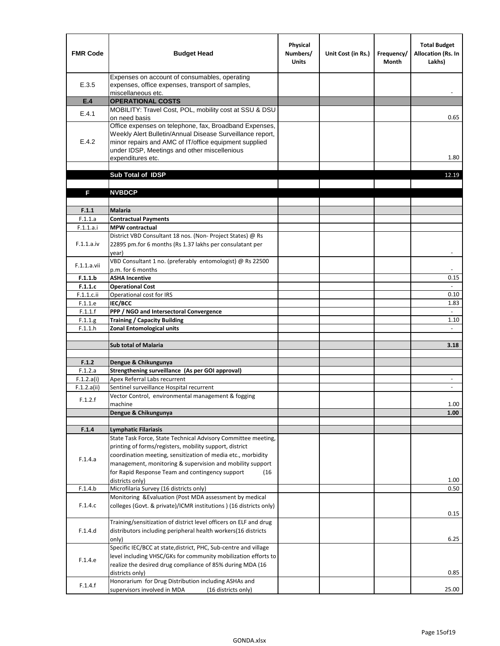| <b>FMR Code</b>  | <b>Budget Head</b>                                                                                                                                                                                                                                | Physical<br>Numbers/<br><b>Units</b> | Unit Cost (in Rs.) | Frequency/<br><b>Month</b> | <b>Total Budget</b><br><b>Allocation (Rs. In</b><br>Lakhs) |
|------------------|---------------------------------------------------------------------------------------------------------------------------------------------------------------------------------------------------------------------------------------------------|--------------------------------------|--------------------|----------------------------|------------------------------------------------------------|
| E.3.5            | Expenses on account of consumables, operating<br>expenses, office expenses, transport of samples,<br>miscellaneous etc.                                                                                                                           |                                      |                    |                            |                                                            |
| E.4              | <b>OPERATIONAL COSTS</b>                                                                                                                                                                                                                          |                                      |                    |                            |                                                            |
| E.4.1            | MOBILITY: Travel Cost, POL, mobility cost at SSU & DSU<br>on need basis                                                                                                                                                                           |                                      |                    |                            | 0.65                                                       |
| E.4.2            | Office expenses on telephone, fax, Broadband Expenses,<br>Weekly Alert Bulletin/Annual Disease Surveillance report,<br>minor repairs and AMC of IT/office equipment supplied<br>under IDSP, Meetings and other miscellenious<br>expenditures etc. |                                      |                    |                            | 1.80                                                       |
|                  | Sub Total of IDSP                                                                                                                                                                                                                                 |                                      |                    |                            | 12.19                                                      |
|                  |                                                                                                                                                                                                                                                   |                                      |                    |                            |                                                            |
| F                | <b>NVBDCP</b>                                                                                                                                                                                                                                     |                                      |                    |                            |                                                            |
|                  |                                                                                                                                                                                                                                                   |                                      |                    |                            |                                                            |
| F.1.1<br>F.1.1.a | <b>Malaria</b><br><b>Contractual Payments</b>                                                                                                                                                                                                     |                                      |                    |                            |                                                            |
| F.1.1.a.i        | <b>MPW</b> contractual                                                                                                                                                                                                                            |                                      |                    |                            |                                                            |
| F.1.1.a.iv       | District VBD Consultant 18 nos. (Non-Project States) @ Rs<br>22895 pm.for 6 months (Rs 1.37 lakhs per consulatant per<br>year)                                                                                                                    |                                      |                    |                            | $\overline{\phantom{m}}$                                   |
| F.1.1.a.vii      | VBD Consultant 1 no. (preferably entomologist) @ Rs 22500<br>p.m. for 6 months                                                                                                                                                                    |                                      |                    |                            |                                                            |
| F.1.1.b          | <b>ASHA Incentive</b>                                                                                                                                                                                                                             |                                      |                    |                            | 0.15                                                       |
| F.1.1.c          | <b>Operational Cost</b>                                                                                                                                                                                                                           |                                      |                    |                            | $\overline{\phantom{a}}$                                   |
| F.1.1.c.ii       | Operational cost for IRS                                                                                                                                                                                                                          |                                      |                    |                            | 0.10                                                       |
| F.1.1.e          | <b>IEC/BCC</b>                                                                                                                                                                                                                                    |                                      |                    |                            | 1.83                                                       |
| F.1.1.f          | PPP / NGO and Intersectoral Convergence                                                                                                                                                                                                           |                                      |                    |                            | $\omega$                                                   |
| F.1.1.g          | <b>Training / Capacity Building</b>                                                                                                                                                                                                               |                                      |                    |                            | 1.10                                                       |
| F.1.1.h          | <b>Zonal Entomological units</b>                                                                                                                                                                                                                  |                                      |                    |                            | $\blacksquare$                                             |
|                  | <b>Sub total of Malaria</b>                                                                                                                                                                                                                       |                                      |                    |                            | 3.18                                                       |
| F.1.2            | Dengue & Chikungunya                                                                                                                                                                                                                              |                                      |                    |                            |                                                            |
| F.1.2.a          | Strengthening surveillance (As per GOI approval)                                                                                                                                                                                                  |                                      |                    |                            |                                                            |
| F.1.2.a(i)       | Apex Referral Labs recurrent                                                                                                                                                                                                                      |                                      |                    |                            | $\overline{\phantom{a}}$                                   |
| F.1.2.a(ii)      | Sentinel surveillance Hospital recurrent                                                                                                                                                                                                          |                                      |                    |                            | $\overline{\phantom{a}}$                                   |
| F.1.2.f          | Vector Control, environmental management & fogging<br>machine                                                                                                                                                                                     |                                      |                    |                            | 1.00                                                       |
|                  | Dengue & Chikungunya                                                                                                                                                                                                                              |                                      |                    |                            | 1.00                                                       |
|                  |                                                                                                                                                                                                                                                   |                                      |                    |                            |                                                            |
| F.1.4            | Lymphatic Filariasis                                                                                                                                                                                                                              |                                      |                    |                            |                                                            |
|                  | State Task Force, State Technical Advisory Committee meeting,<br>printing of forms/registers, mobility support, district<br>coordination meeting, sensitization of media etc., morbidity                                                          |                                      |                    |                            |                                                            |
| F.1.4.a          | management, monitoring & supervision and mobility support<br>for Rapid Response Team and contingency support<br>(16)                                                                                                                              |                                      |                    |                            |                                                            |
|                  | districts only)<br>Microfilaria Survey (16 districts only)                                                                                                                                                                                        |                                      |                    |                            | 1.00<br>0.50                                               |
| F.1.4.b          | Monitoring & Evaluation (Post MDA assessment by medical                                                                                                                                                                                           |                                      |                    |                            |                                                            |
| F.1.4.c          | colleges (Govt. & private)/ICMR institutions ) (16 districts only)                                                                                                                                                                                |                                      |                    |                            | 0.15                                                       |
| F.1.4.d          | Training/sensitization of district level officers on ELF and drug<br>distributors including peripheral health workers(16 districts                                                                                                                |                                      |                    |                            |                                                            |
|                  | only)                                                                                                                                                                                                                                             |                                      |                    |                            | 6.25                                                       |
| F.1.4.e          | Specific IEC/BCC at state, district, PHC, Sub-centre and village<br>level including VHSC/GKs for community mobilization efforts to<br>realize the desired drug compliance of 85% during MDA (16                                                   |                                      |                    |                            |                                                            |
|                  | districts only)                                                                                                                                                                                                                                   |                                      |                    |                            | 0.85                                                       |
| F.1.4.f          | Honorarium for Drug Distribution including ASHAs and<br>supervisors involved in MDA<br>(16 districts only)                                                                                                                                        |                                      |                    |                            | 25.00                                                      |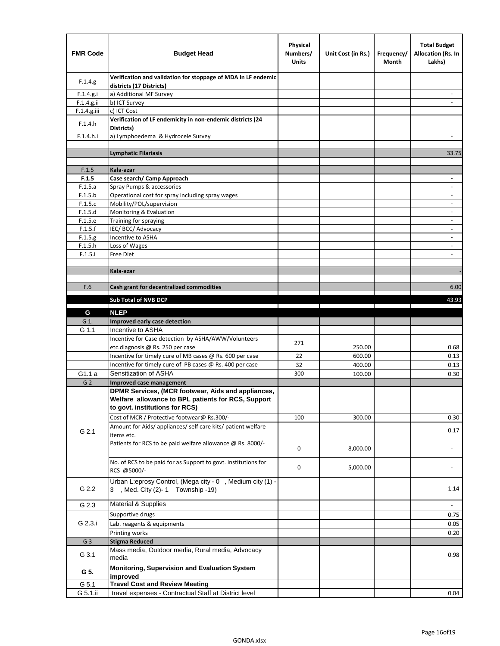| <b>FMR Code</b>    | <b>Budget Head</b>                                                                             | Physical<br>Numbers/<br><b>Units</b> | Unit Cost (in Rs.) | Frequency/<br>Month | <b>Total Budget</b><br><b>Allocation (Rs. In</b><br>Lakhs) |
|--------------------|------------------------------------------------------------------------------------------------|--------------------------------------|--------------------|---------------------|------------------------------------------------------------|
| F.1.4.g.           | Verification and validation for stoppage of MDA in LF endemic<br>districts (17 Districts)      |                                      |                    |                     |                                                            |
| F.1.4.g.i          | a) Additional MF Survey                                                                        |                                      |                    |                     |                                                            |
| F.1.4.g.ii         | b) ICT Survey                                                                                  |                                      |                    |                     |                                                            |
| $F.1.4.g.$ iii     | c) ICT Cost                                                                                    |                                      |                    |                     |                                                            |
| F.1.4.h            | Verification of LF endemicity in non-endemic districts (24<br>Districts)                       |                                      |                    |                     |                                                            |
| F.1.4.h.i          | a) Lymphoedema & Hydrocele Survey                                                              |                                      |                    |                     |                                                            |
|                    | <b>Lymphatic Filariasis</b>                                                                    |                                      |                    |                     | 33.75                                                      |
|                    |                                                                                                |                                      |                    |                     |                                                            |
| F.1.5              | Kala-azar                                                                                      |                                      |                    |                     |                                                            |
| F.1.5              | Case search/ Camp Approach                                                                     |                                      |                    |                     | $\overline{\phantom{a}}$                                   |
| F.1.5.a            | Spray Pumps & accessories                                                                      |                                      |                    |                     |                                                            |
| F.1.5.b            | Operational cost for spray including spray wages                                               |                                      |                    |                     |                                                            |
| F.1.5.c            | Mobility/POL/supervision                                                                       |                                      |                    |                     | $\blacksquare$                                             |
| F.1.5.d            | Monitoring & Evaluation                                                                        |                                      |                    |                     |                                                            |
| F.1.5.e            | Training for spraying                                                                          |                                      |                    |                     | $\overline{\phantom{a}}$                                   |
| F.1.5.f            | IEC/BCC/Advocacy                                                                               |                                      |                    |                     |                                                            |
| F.1.5.g            | Incentive to ASHA                                                                              |                                      |                    |                     | $\overline{\phantom{a}}$                                   |
| F.1.5.h<br>F.1.5.i | Loss of Wages<br>Free Diet                                                                     |                                      |                    |                     | $\overline{\phantom{a}}$                                   |
|                    |                                                                                                |                                      |                    |                     |                                                            |
|                    | Kala-azar                                                                                      |                                      |                    |                     |                                                            |
|                    |                                                                                                |                                      |                    |                     |                                                            |
| F.6                | Cash grant for decentralized commodities                                                       |                                      |                    |                     | 6.00                                                       |
|                    | <b>Sub Total of NVB DCP</b>                                                                    |                                      |                    |                     | 43.93                                                      |
|                    | <b>NLEP</b>                                                                                    |                                      |                    |                     |                                                            |
| G<br>G 1.          | Improved early case detection                                                                  |                                      |                    |                     |                                                            |
| G 1.1              | Incentive to ASHA                                                                              |                                      |                    |                     |                                                            |
|                    | Incentive for Case detection by ASHA/AWW/Volunteers                                            |                                      |                    |                     |                                                            |
|                    | etc.diagnosis @ Rs. 250 per case                                                               | 271                                  | 250.00             |                     | 0.68                                                       |
|                    | Incentive for timely cure of MB cases @ Rs. 600 per case                                       | 22                                   | 600.00             |                     | 0.13                                                       |
|                    | Incentive for timely cure of PB cases @ Rs. 400 per case                                       | 32                                   | 400.00             |                     | 0.13                                                       |
| G1.1 a             | Sensitization of ASHA                                                                          | 300                                  | 100.00             |                     | 0.30                                                       |
| G <sub>2</sub>     | <b>Improved case management</b>                                                                |                                      |                    |                     |                                                            |
|                    | DPMR Services, (MCR footwear, Aids and appliances,                                             |                                      |                    |                     |                                                            |
|                    | Welfare allowance to BPL patients for RCS, Support<br>to govt. institutions for RCS)           |                                      |                    |                     |                                                            |
|                    |                                                                                                |                                      |                    |                     |                                                            |
|                    | Cost of MCR / Protective footwear@ Rs.300/-                                                    | 100                                  | 300.00             |                     | 0.30                                                       |
| G 2.1              | Amount for Aids/ appliances/ self care kits/ patient welfare<br>items etc.                     |                                      |                    |                     | 0.17                                                       |
|                    | Patients for RCS to be paid welfare allowance @ Rs. 8000/-                                     | 0                                    | 8,000.00           |                     |                                                            |
|                    | No. of RCS to be paid for as Support to govt. institutions for<br>RCS @5000/-                  | 0                                    | 5,000.00           |                     |                                                            |
| G 2.2              | Urban L:eprosy Control, (Mega city - 0, Medium city (1) -<br>3 , Med. City (2)-1 Township -19) |                                      |                    |                     | 1.14                                                       |
| G 2.3              | <b>Material &amp; Supplies</b>                                                                 |                                      |                    |                     | $\overline{\phantom{a}}$                                   |
|                    | Supportive drugs                                                                               |                                      |                    |                     | 0.75                                                       |
| G 2.3.i            | Lab. reagents & equipments                                                                     |                                      |                    |                     | 0.05                                                       |
|                    | Printing works                                                                                 |                                      |                    |                     | 0.20                                                       |
| G <sub>3</sub>     | <b>Stigma Reduced</b>                                                                          |                                      |                    |                     |                                                            |
|                    | Mass media, Outdoor media, Rural media, Advocacy                                               |                                      |                    |                     |                                                            |
| G 3.1              | media                                                                                          |                                      |                    |                     | 0.98                                                       |
| G 5.               | Monitoring, Supervision and Evaluation System<br>improved                                      |                                      |                    |                     |                                                            |
| G 5.1              | <b>Travel Cost and Review Meeting</b>                                                          |                                      |                    |                     |                                                            |
| G 5.1.ii           | travel expenses - Contractual Staff at District level                                          |                                      |                    |                     | 0.04                                                       |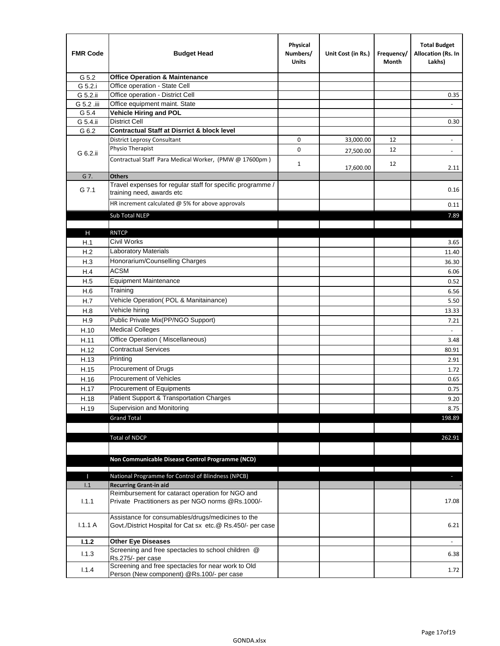| <b>FMR Code</b> | <b>Budget Head</b>                                                                                              | Physical<br>Numbers/<br><b>Units</b> | Unit Cost (in Rs.) | Frequency/<br>Month | <b>Total Budget</b><br>Allocation (Rs. In<br>Lakhs) |
|-----------------|-----------------------------------------------------------------------------------------------------------------|--------------------------------------|--------------------|---------------------|-----------------------------------------------------|
| G 5.2           | <b>Office Operation &amp; Maintenance</b>                                                                       |                                      |                    |                     |                                                     |
| G 5.2.i         | Office operation - State Cell                                                                                   |                                      |                    |                     |                                                     |
| G 5.2.ii        | Office operation - District Cell                                                                                |                                      |                    |                     | 0.35                                                |
| G 5.2 .iii      | Office equipment maint. State                                                                                   |                                      |                    |                     |                                                     |
| G 5.4           | <b>Vehicle Hiring and POL</b>                                                                                   |                                      |                    |                     |                                                     |
| G 5.4.ii        | <b>District Cell</b>                                                                                            |                                      |                    |                     | 0.30                                                |
| G 6.2           | <b>Contractual Staff at Disrrict &amp; block level</b>                                                          |                                      |                    |                     |                                                     |
|                 | <b>District Leprosy Consultant</b>                                                                              | 0                                    | 33,000.00          | 12                  |                                                     |
| G 6.2.ii        | Physio Therapist                                                                                                | 0                                    | 27,500.00          | 12                  | $\overline{\phantom{a}}$                            |
|                 | Contractual Staff Para Medical Worker, (PMW @ 17600pm)                                                          | $\mathbf{1}$                         | 17,600.00          | 12                  | 2.11                                                |
| G 7.            | <b>Others</b>                                                                                                   |                                      |                    |                     |                                                     |
| G 7.1           | Travel expenses for regular staff for specific programme /<br>training need, awards etc                         |                                      |                    |                     | 0.16                                                |
|                 | HR increment calculated $\omega$ 5% for above approvals                                                         |                                      |                    |                     | 0.11                                                |
|                 | Sub Total NLEP                                                                                                  |                                      |                    |                     | 7.89                                                |
|                 |                                                                                                                 |                                      |                    |                     |                                                     |
| Н               | <b>RNTCP</b>                                                                                                    |                                      |                    |                     |                                                     |
| H.1             | Civil Works                                                                                                     |                                      |                    |                     | 3.65                                                |
| H.2             | Laboratory Materials                                                                                            |                                      |                    |                     | 11.40                                               |
| H.3             | Honorarium/Counselling Charges                                                                                  |                                      |                    |                     | 36.30                                               |
| H.4             | <b>ACSM</b>                                                                                                     |                                      |                    |                     | 6.06                                                |
| H.5             | <b>Equipment Maintenance</b>                                                                                    |                                      |                    |                     | 0.52                                                |
| H.6             | Training                                                                                                        |                                      |                    |                     | 6.56                                                |
| H.7             | Vehicle Operation(POL & Manitainance)                                                                           |                                      |                    |                     | 5.50                                                |
| H.8             | Vehicle hiring                                                                                                  |                                      |                    |                     | 13.33                                               |
| H.9             | Public Private Mix(PP/NGO Support)                                                                              |                                      |                    |                     | 7.21                                                |
| H.10            | <b>Medical Colleges</b>                                                                                         |                                      |                    |                     | $\omega$                                            |
| H.11            | Office Operation (Miscellaneous)                                                                                |                                      |                    |                     | 3.48                                                |
| H.12            | <b>Contractual Services</b>                                                                                     |                                      |                    |                     | 80.91                                               |
| H.13            | Printing                                                                                                        |                                      |                    |                     | 2.91                                                |
| H.15            | Procurement of Drugs                                                                                            |                                      |                    |                     | 1.72                                                |
| H.16            | Procurement of Vehicles                                                                                         |                                      |                    |                     | 0.65                                                |
| H.17            | Procurement of Equipments                                                                                       |                                      |                    |                     | 0.75                                                |
| H.18            | Patient Support & Transportation Charges                                                                        |                                      |                    |                     | 9.20                                                |
| H.19            | Supervision and Monitoring                                                                                      |                                      |                    |                     | 8.75                                                |
|                 | <b>Grand Total</b>                                                                                              |                                      |                    |                     | 198.89                                              |
|                 |                                                                                                                 |                                      |                    |                     |                                                     |
|                 | <b>Total of NDCP</b>                                                                                            |                                      |                    |                     | 262.91                                              |
|                 |                                                                                                                 |                                      |                    |                     |                                                     |
|                 | Non Communicable Disease Control Programme (NCD)                                                                |                                      |                    |                     |                                                     |
|                 |                                                                                                                 |                                      |                    |                     |                                                     |
| Т               | National Programme for Control of Blindness (NPCB)                                                              |                                      |                    |                     | ÷.                                                  |
| 1.1             | <b>Recurring Grant-in aid</b>                                                                                   |                                      |                    |                     |                                                     |
| 1.1.1           | Reimbursement for cataract operation for NGO and<br>Private Practitioners as per NGO norms @Rs.1000/-           |                                      |                    |                     | 17.08                                               |
| 1.1.1A          | Assistance for consumables/drugs/medicines to the<br>Govt./District Hospital for Cat sx etc.@ Rs.450/- per case |                                      |                    |                     | 6.21                                                |
| 1.1.2           | <b>Other Eye Diseases</b>                                                                                       |                                      |                    |                     |                                                     |
|                 | Screening and free spectacles to school children @                                                              |                                      |                    |                     |                                                     |
| 1.1.3           | Rs.275/- per case                                                                                               |                                      |                    |                     | 6.38                                                |
| 1.1.4           | Screening and free spectacles for near work to Old<br>Person (New component) @Rs.100/- per case                 |                                      |                    |                     | 1.72                                                |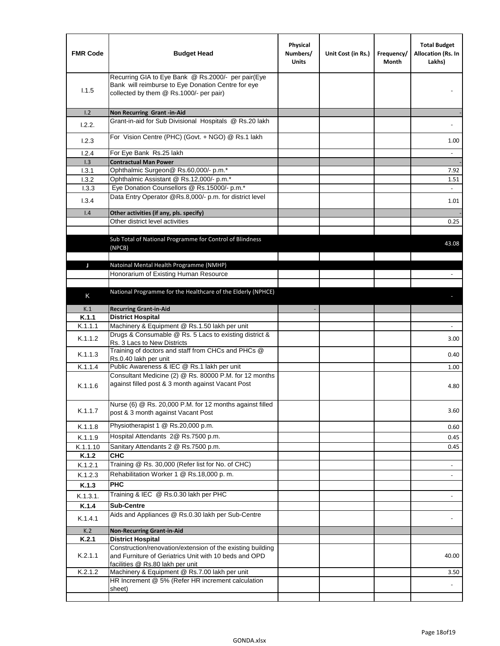| <b>FMR Code</b> | <b>Budget Head</b>                                                                                                                                      | Physical<br>Numbers/<br><b>Units</b> | Unit Cost (in Rs.) | Frequency/<br>Month | <b>Total Budget</b><br>Allocation (Rs. In<br>Lakhs) |
|-----------------|---------------------------------------------------------------------------------------------------------------------------------------------------------|--------------------------------------|--------------------|---------------------|-----------------------------------------------------|
| 1.1.5           | Recurring GIA to Eye Bank @ Rs.2000/- per pair(Eye<br>Bank will reimburse to Eye Donation Centre for eye<br>collected by them @ Rs.1000/- per pair)     |                                      |                    |                     |                                                     |
| 1.2             | Non Recurring Grant -in-Aid                                                                                                                             |                                      |                    |                     |                                                     |
| 1.2.2.          | Grant-in-aid for Sub Divisional Hospitals @ Rs.20 lakh                                                                                                  |                                      |                    |                     |                                                     |
| 1.2.3           | For Vision Centre (PHC) (Govt. + NGO) @ Rs.1 lakh                                                                                                       |                                      |                    |                     | 1.00                                                |
| 1.2.4           | For Eye Bank Rs.25 lakh                                                                                                                                 |                                      |                    |                     | $\omega$                                            |
| 1.3             | <b>Contractual Man Power</b>                                                                                                                            |                                      |                    |                     |                                                     |
| 1.3.1           | Ophthalmic Surgeon@ Rs.60,000/- p.m.*                                                                                                                   |                                      |                    |                     | 7.92                                                |
| 1.3.2           | Ophthalmic Assistant @ Rs.12,000/- p.m.*                                                                                                                |                                      |                    |                     | 1.51                                                |
| 1.3.3           | Eye Donation Counsellors @ Rs.15000/- p.m.*<br>Data Entry Operator @Rs.8,000/- p.m. for district level                                                  |                                      |                    |                     | $\omega$ .                                          |
| 1.3.4           |                                                                                                                                                         |                                      |                    |                     | 1.01                                                |
| 1.4             | Other activities (if any, pls. specify)<br>Other district level activities                                                                              |                                      |                    |                     |                                                     |
|                 |                                                                                                                                                         |                                      |                    |                     | 0.25                                                |
|                 | Sub Total of National Programme for Control of Blindness<br>(NPCB)                                                                                      |                                      |                    |                     | 43.08                                               |
| J               | Natoinal Mental Health Programme (NMHP)                                                                                                                 |                                      |                    |                     |                                                     |
|                 | Honorarium of Existing Human Resource                                                                                                                   |                                      |                    |                     |                                                     |
|                 |                                                                                                                                                         |                                      |                    |                     |                                                     |
|                 | National Programme for the Healthcare of the Elderly (NPHCE)                                                                                            |                                      |                    |                     |                                                     |
| Κ               |                                                                                                                                                         |                                      |                    |                     |                                                     |
| K.1             | <b>Recurring Grant-in-Aid</b>                                                                                                                           |                                      |                    |                     |                                                     |
| K.1.1           | <b>District Hospital</b>                                                                                                                                |                                      |                    |                     |                                                     |
| K.1.1.1         | Machinery & Equipment @ Rs.1.50 lakh per unit                                                                                                           |                                      |                    |                     |                                                     |
| K.1.1.2         | Drugs & Consumable @ Rs. 5 Lacs to existing district &<br>Rs. 3 Lacs to New Districts                                                                   |                                      |                    |                     | 3.00                                                |
| K.1.1.3         | Training of doctors and staff from CHCs and PHCs @<br>Rs.0.40 lakh per unit                                                                             |                                      |                    |                     | 0.40                                                |
| K.1.1.4         | Public Awareness & IEC @ Rs.1 lakh per unit                                                                                                             |                                      |                    |                     | 1.00                                                |
| K.1.1.6         | Consultant Medicine (2) @ Rs. 80000 P.M. for 12 months<br>against filled post & 3 month against Vacant Post                                             |                                      |                    |                     | 4.80                                                |
| K.1.1.7         | Nurse (6) @ Rs. 20,000 P.M. for 12 months against filled<br>post & 3 month against Vacant Post                                                          |                                      |                    |                     | 3.60                                                |
| K.1.1.8         | Physiotherapist 1 @ Rs.20,000 p.m.                                                                                                                      |                                      |                    |                     | 0.60                                                |
| K.1.1.9         | Hospital Attendants 2@ Rs.7500 p.m.                                                                                                                     |                                      |                    |                     | 0.45                                                |
| K.1.1.10        | Sanitary Attendants 2 @ Rs.7500 p.m.                                                                                                                    |                                      |                    |                     | 0.45                                                |
| K.1.2           | СНС                                                                                                                                                     |                                      |                    |                     |                                                     |
| K.1.2.1         | Training @ Rs. 30,000 (Refer list for No. of CHC)                                                                                                       |                                      |                    |                     |                                                     |
| K.1.2.3         | Rehabilitation Worker 1 @ Rs.18,000 p.m.                                                                                                                |                                      |                    |                     | $\overline{\phantom{a}}$                            |
|                 | <b>PHC</b>                                                                                                                                              |                                      |                    |                     |                                                     |
| K.1.3           | Training & IEC @ Rs.0.30 lakh per PHC                                                                                                                   |                                      |                    |                     |                                                     |
| K.1.3.1.        |                                                                                                                                                         |                                      |                    |                     |                                                     |
| K.1.4           | <b>Sub-Centre</b>                                                                                                                                       |                                      |                    |                     |                                                     |
| K.1.4.1         | Aids and Appliances @ Rs.0.30 lakh per Sub-Centre                                                                                                       |                                      |                    |                     |                                                     |
| K.2             | <b>Non-Recurring Grant-in-Aid</b>                                                                                                                       |                                      |                    |                     |                                                     |
| K.2.1           | <b>District Hospital</b>                                                                                                                                |                                      |                    |                     |                                                     |
| K.2.1.1         | Construction/renovation/extension of the existing building<br>and Furniture of Geriatrics Unit with 10 beds and OPD<br>facilities @ Rs.80 lakh per unit |                                      |                    |                     | 40.00                                               |
| K.2.1.2         | Machinery & Equipment @ Rs.7.00 lakh per unit                                                                                                           |                                      |                    |                     | 3.50                                                |
|                 | HR Increment @ 5% (Refer HR increment calculation                                                                                                       |                                      |                    |                     |                                                     |
|                 | sheet)                                                                                                                                                  |                                      |                    |                     |                                                     |
|                 |                                                                                                                                                         |                                      |                    |                     |                                                     |